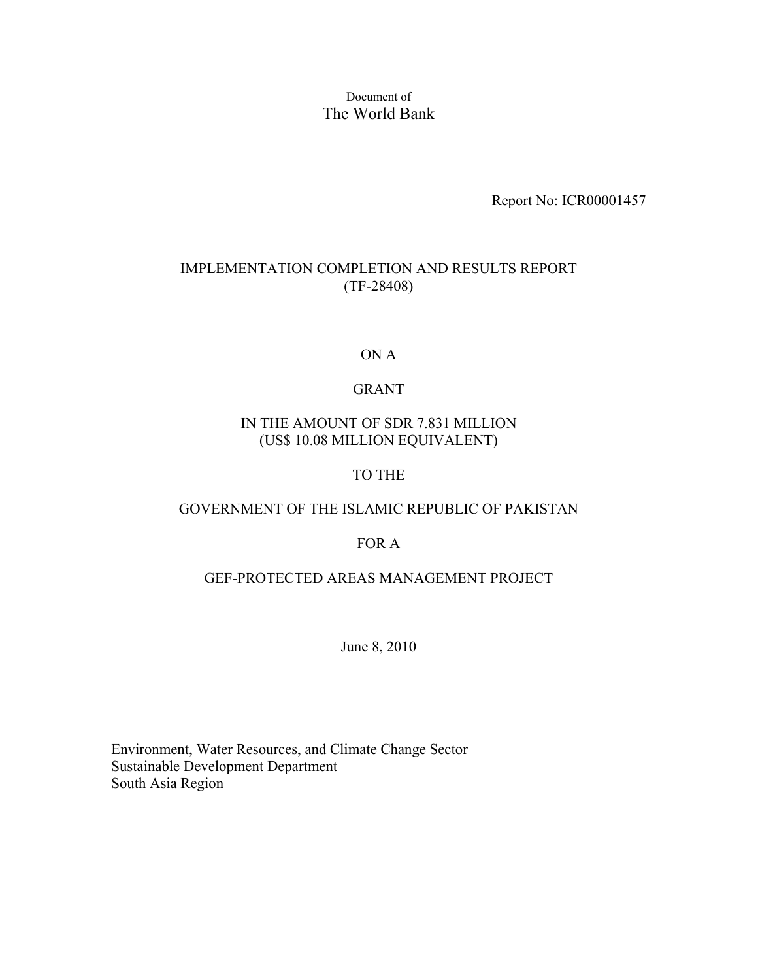#### Document of The World Bank

Report No: ICR00001457

#### IMPLEMENTATION COMPLETION AND RESULTS REPORT (TF-28408)

#### ON A

#### GRANT

#### IN THE AMOUNT OF SDR 7.831 MILLION (US\$ 10.08 MILLION EQUIVALENT)

#### TO THE

#### GOVERNMENT OF THE ISLAMIC REPUBLIC OF PAKISTAN

#### FOR A

#### GEF-PROTECTED AREAS MANAGEMENT PROJECT

June 8, 2010

Environment, Water Resources, and Climate Change Sector Sustainable Development Department South Asia Region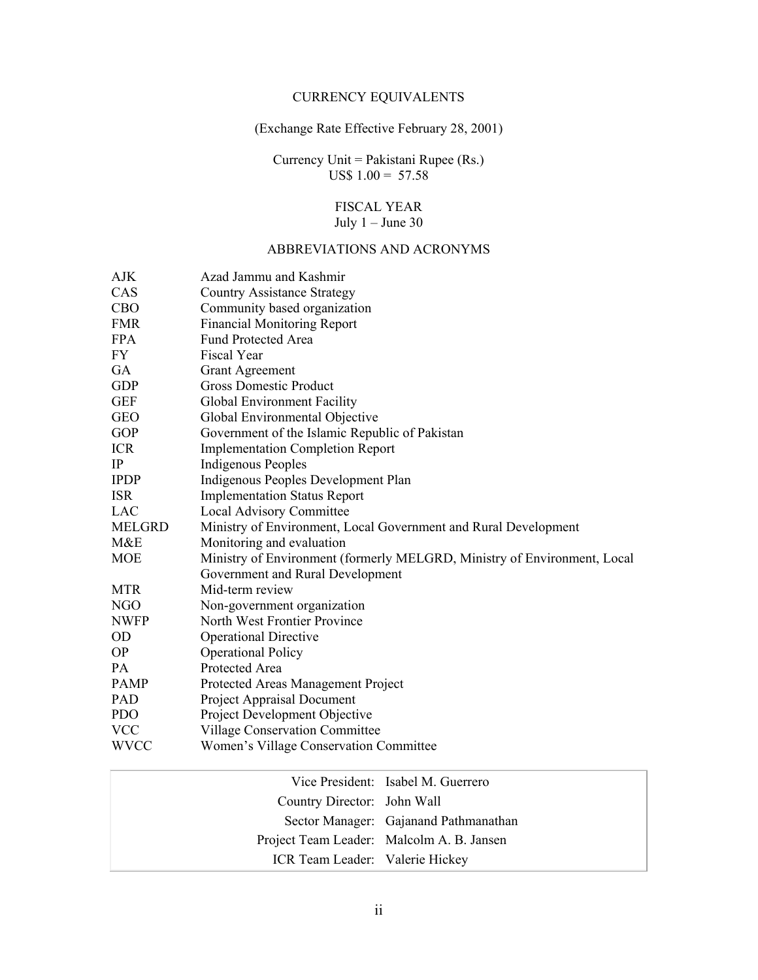#### CURRENCY EQUIVALENTS

#### (Exchange Rate Effective February 28, 2001)

Currency Unit = Pakistani Rupee (Rs.) US\$  $1.00 = 57.58$ 

#### FISCAL YEAR July 1 – June 30

#### ABBREVIATIONS AND ACRONYMS

| AJK           | Azad Jammu and Kashmir                                                   |
|---------------|--------------------------------------------------------------------------|
| CAS           | <b>Country Assistance Strategy</b>                                       |
| CBO           | Community based organization                                             |
| <b>FMR</b>    | <b>Financial Monitoring Report</b>                                       |
| <b>FPA</b>    | <b>Fund Protected Area</b>                                               |
| FY            | Fiscal Year                                                              |
| GA            | <b>Grant Agreement</b>                                                   |
| <b>GDP</b>    | <b>Gross Domestic Product</b>                                            |
| <b>GEF</b>    | Global Environment Facility                                              |
| <b>GEO</b>    | Global Environmental Objective                                           |
| <b>GOP</b>    | Government of the Islamic Republic of Pakistan                           |
| <b>ICR</b>    | <b>Implementation Completion Report</b>                                  |
| IP            | <b>Indigenous Peoples</b>                                                |
| <b>IPDP</b>   | Indigenous Peoples Development Plan                                      |
| <b>ISR</b>    | <b>Implementation Status Report</b>                                      |
| LAC           | Local Advisory Committee                                                 |
| <b>MELGRD</b> | Ministry of Environment, Local Government and Rural Development          |
| M&E           | Monitoring and evaluation                                                |
| MOE           | Ministry of Environment (formerly MELGRD, Ministry of Environment, Local |
|               | Government and Rural Development                                         |
| MTR           | Mid-term review                                                          |
| NGO           | Non-government organization                                              |
| <b>NWFP</b>   | North West Frontier Province                                             |
| OD            | <b>Operational Directive</b>                                             |
| <b>OP</b>     | <b>Operational Policy</b>                                                |
| PA            | Protected Area                                                           |
| <b>PAMP</b>   | Protected Areas Management Project                                       |
| PAD           | Project Appraisal Document                                               |
| <b>PDO</b>    | Project Development Objective                                            |
| <b>VCC</b>    | <b>Village Conservation Committee</b>                                    |
| <b>WVCC</b>   | Women's Village Conservation Committee                                   |

|                                 | Vice President: Isabel M. Guerrero        |
|---------------------------------|-------------------------------------------|
| Country Director: John Wall     |                                           |
|                                 | Sector Manager: Gajanand Pathmanathan     |
|                                 | Project Team Leader: Malcolm A. B. Jansen |
| ICR Team Leader: Valerie Hickey |                                           |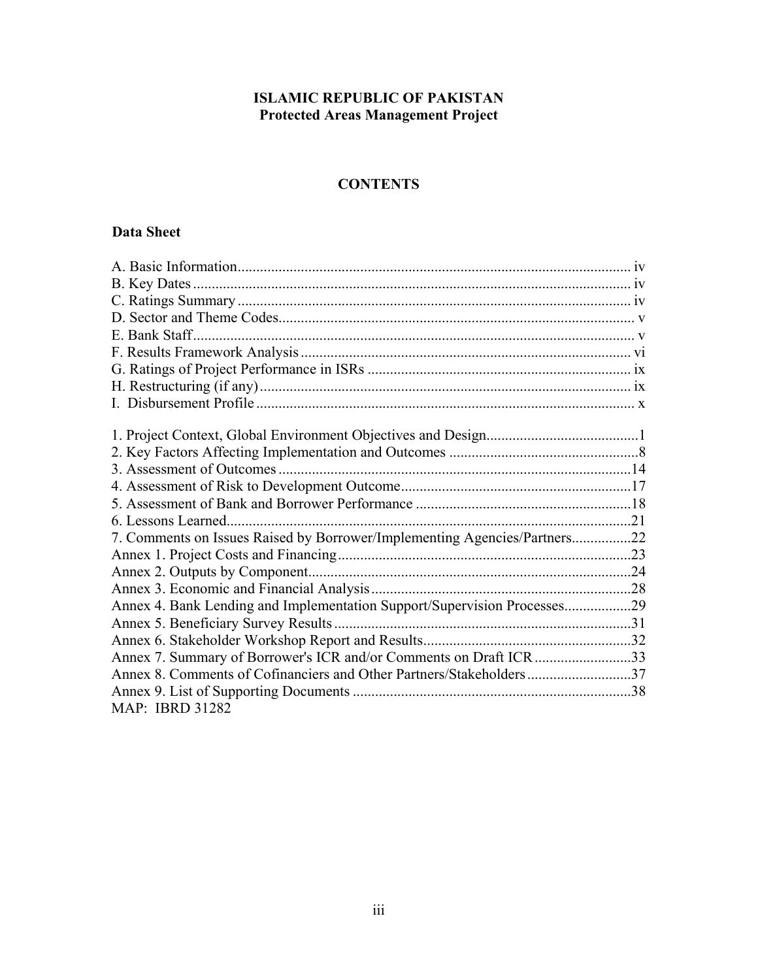### **ISLAMIC REPUBLIC OF PAKISTAN Protected Areas Management Project**

# **CONTENTS**

### **Data Sheet**

| 7. Comments on Issues Raised by Borrower/Implementing Agencies/Partners22 |  |
|---------------------------------------------------------------------------|--|
|                                                                           |  |
|                                                                           |  |
|                                                                           |  |
| Annex 4. Bank Lending and Implementation Support/Supervision Processes29  |  |
|                                                                           |  |
|                                                                           |  |
| Annex 7. Summary of Borrower's ICR and/or Comments on Draft ICR 33        |  |
| Annex 8. Comments of Cofinanciers and Other Partners/Stakeholders37       |  |
|                                                                           |  |
| <b>MAP: IBRD 31282</b>                                                    |  |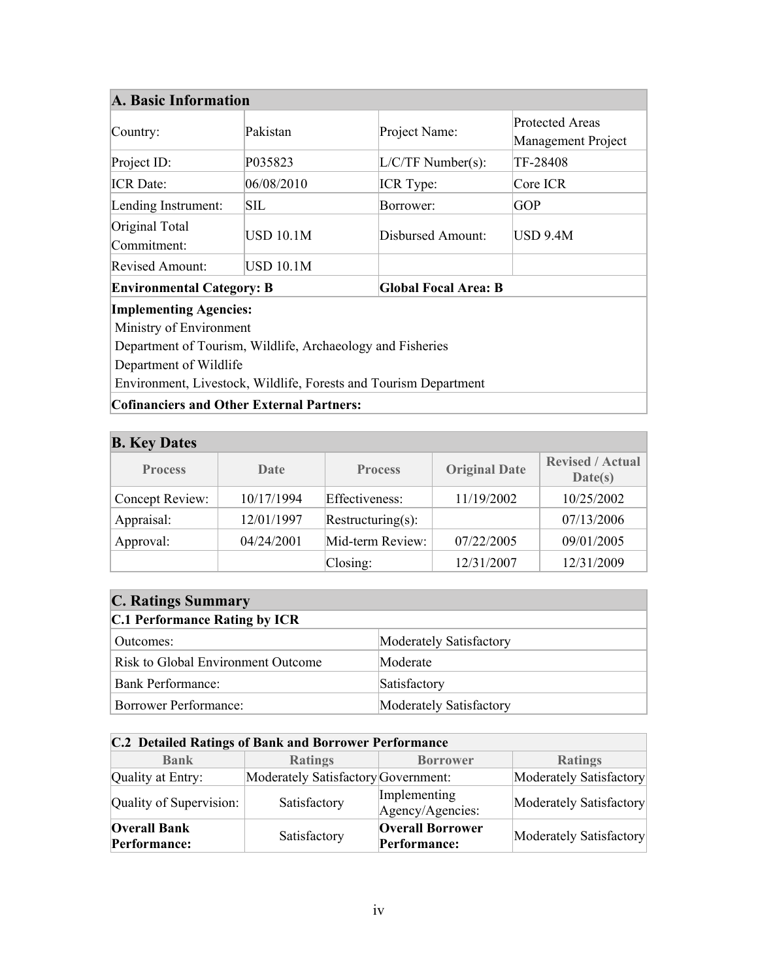#### <span id="page-3-0"></span>**A. Basic Information**

| $\sqrt{\text{Country}}$ :        | Pakistan         | Project Name:       | <b>Protected Areas</b><br>Management Project |  |
|----------------------------------|------------------|---------------------|----------------------------------------------|--|
| Project ID:                      | P035823          | $L/C/TF$ Number(s): | TF-28408                                     |  |
| <b>ICR</b> Date:                 | 06/08/2010       | <b>ICR</b> Type:    | Core ICR                                     |  |
| Lending Instrument:              | <b>SIL</b>       | Borrower:           | <b>GOP</b>                                   |  |
| Original Total<br>Commitment:    | <b>USD 10.1M</b> | Disbursed Amount:   | <b>USD 9.4M</b>                              |  |
| Revised Amount:                  | <b>USD 10.1M</b> |                     |                                              |  |
| <b>Environmental Category: B</b> |                  |                     | <b>Global Focal Area: B</b>                  |  |

#### **Implementing Agencies:**

Ministry of Environment

Department of Tourism, Wildlife, Archaeology and Fisheries

Department of Wildlife

Environment, Livestock, Wildlife, Forests and Tourism Department

#### **Cofinanciers and Other External Partners:**

<span id="page-3-1"></span>

| <b>B.</b> Key Dates |            |                   |                      |                                    |  |  |
|---------------------|------------|-------------------|----------------------|------------------------------------|--|--|
| <b>Process</b>      | Date       | <b>Process</b>    | <b>Original Date</b> | <b>Revised / Actual</b><br>Date(s) |  |  |
| Concept Review:     | 10/17/1994 | Effectiveness:    | 11/19/2002           | 10/25/2002                         |  |  |
| Appraisal:          | 12/01/1997 | Restructuring(s): |                      | 07/13/2006                         |  |  |
| Approval:           | 04/24/2001 | Mid-term Review:  | 07/22/2005           | 09/01/2005                         |  |  |
|                     |            | $\text{Closing:}$ | 12/31/2007           | 12/31/2009                         |  |  |

### <span id="page-3-2"></span>**C. Ratings Summary**

# **C.1 Performance Rating by ICR**

| Outcomes:                          | Moderately Satisfactory |
|------------------------------------|-------------------------|
| Risk to Global Environment Outcome | Moderate                |
| Bank Performance:                  | Satisfactory            |
| <b>Borrower Performance:</b>       | Moderately Satisfactory |

#### **C.2 Detailed Ratings of Bank and Borrower Performance**

| <b>Bank</b>                         | <b>Ratings</b>                      | <b>Borrower</b>                         | <b>Ratings</b>          |
|-------------------------------------|-------------------------------------|-----------------------------------------|-------------------------|
| Quality at Entry:                   | Moderately Satisfactory Government: |                                         | Moderately Satisfactory |
| Quality of Supervision:             | Satisfactory                        | Implementing<br>Agency/Agencies:        | Moderately Satisfactory |
| <b>Overall Bank</b><br>Performance: | Satisfactory                        | <b>Overall Borrower</b><br>Performance: | Moderately Satisfactory |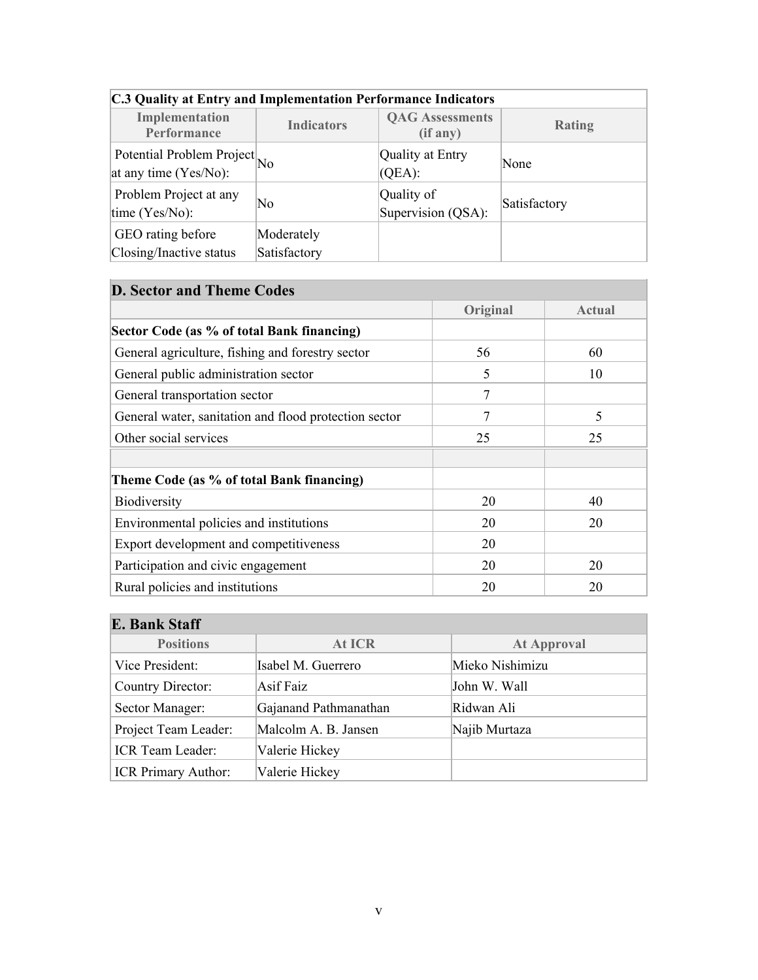| C.3 Quality at Entry and Implementation Performance Indicators         |                            |                                    |               |  |  |
|------------------------------------------------------------------------|----------------------------|------------------------------------|---------------|--|--|
| Implementation<br>Performance                                          | <b>Indicators</b>          | <b>QAG</b> Assessments<br>(if any) | <b>Rating</b> |  |  |
| Potential Problem Project $\vert_{\text{No}}$<br>at any time (Yes/No): |                            | Quality at Entry<br>$(QEA)$ :      | None          |  |  |
| Problem Project at any<br>time (Yes/No):                               | No                         | Quality of<br>Supervision (QSA):   | Satisfactory  |  |  |
| GEO rating before<br>Closing/Inactive status                           | Moderately<br>Satisfactory |                                    |               |  |  |

#### **C.3 Quality at Entry and Implementation Performance Indicators**

<span id="page-4-0"></span>

| <b>D. Sector and Theme Codes</b>                      |                |        |
|-------------------------------------------------------|----------------|--------|
|                                                       | Original       | Actual |
| Sector Code (as % of total Bank financing)            |                |        |
| General agriculture, fishing and forestry sector      | 56             | 60     |
| General public administration sector                  | 5              | 10     |
| General transportation sector                         | $\overline{7}$ |        |
| General water, sanitation and flood protection sector | 7              | 5      |
| Other social services                                 | 25             | 25     |
| Theme Code (as % of total Bank financing)             |                |        |
| Biodiversity                                          | 20             | 40     |
| Environmental policies and institutions               | 20             | 20     |
| Export development and competitiveness                | 20             |        |
| Participation and civic engagement                    | 20             | 20     |
| Rural policies and institutions                       | 20             | 20     |

<span id="page-4-1"></span>

| E. Bank Staff           |                       |                    |  |  |  |
|-------------------------|-----------------------|--------------------|--|--|--|
| <b>Positions</b>        | At ICR                | <b>At Approval</b> |  |  |  |
| Vice President:         | Isabel M. Guerrero    | Mieko Nishimizu    |  |  |  |
| Country Director:       | <b>Asif Faiz</b>      | John W. Wall       |  |  |  |
| Sector Manager:         | Gajanand Pathmanathan | Ridwan Ali         |  |  |  |
| Project Team Leader:    | Malcolm A. B. Jansen  | Najib Murtaza      |  |  |  |
| <b>ICR</b> Team Leader: | Valerie Hickey        |                    |  |  |  |
| ICR Primary Author:     | Valerie Hickey        |                    |  |  |  |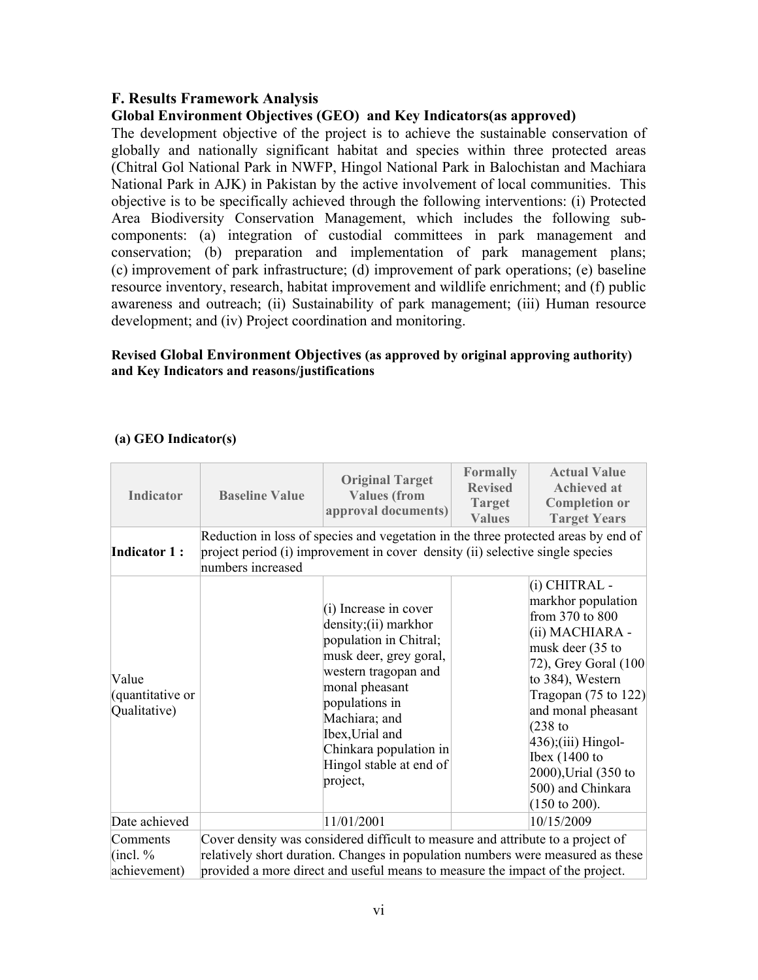#### <span id="page-5-0"></span>**F. Results Framework Analysis**

#### **Global Environment Objectives (GEO) and Key Indicators(as approved)**

The development objective of the project is to achieve the sustainable conservation of globally and nationally significant habitat and species within three protected areas (Chitral Gol National Park in NWFP, Hingol National Park in Balochistan and Machiara National Park in AJK) in Pakistan by the active involvement of local communities. This objective is to be specifically achieved through the following interventions: (i) Protected Area Biodiversity Conservation Management, which includes the following subcomponents: (a) integration of custodial committees in park management and conservation; (b) preparation and implementation of park management plans; (c) improvement of park infrastructure; (d) improvement of park operations; (e) baseline resource inventory, research, habitat improvement and wildlife enrichment; and (f) public awareness and outreach; (ii) Sustainability of park management; (iii) Human resource development; and (iv) Project coordination and monitoring.

#### **Revised Global Environment Objectives (as approved by original approving authority) and Key Indicators and reasons/justifications**

#### **(a) GEO Indicator(s)**

| <b>Indicator</b>                          | <b>Baseline Value</b>                                                                                                                                                                                                                               | <b>Original Target</b><br><b>Values</b> (from<br>approval documents)                                                                                                                                                                                                 | Formally<br><b>Revised</b><br>Target<br><b>Values</b> | <b>Actual Value</b><br><b>Achieved at</b><br><b>Completion or</b><br><b>Target Years</b>                                                                                                                                                                                                                                                |
|-------------------------------------------|-----------------------------------------------------------------------------------------------------------------------------------------------------------------------------------------------------------------------------------------------------|----------------------------------------------------------------------------------------------------------------------------------------------------------------------------------------------------------------------------------------------------------------------|-------------------------------------------------------|-----------------------------------------------------------------------------------------------------------------------------------------------------------------------------------------------------------------------------------------------------------------------------------------------------------------------------------------|
| <b>Indicator 1:</b>                       | numbers increased                                                                                                                                                                                                                                   | Reduction in loss of species and vegetation in the three protected areas by end of<br>project period (i) improvement in cover density (ii) selective single species                                                                                                  |                                                       |                                                                                                                                                                                                                                                                                                                                         |
| Value<br>(quantitative or<br>Qualitative) |                                                                                                                                                                                                                                                     | $(i)$ Increase in cover<br>density;(ii) markhor<br>population in Chitral;<br>musk deer, grey goral,<br>western tragopan and<br>monal pheasant<br>populations in<br>Machiara; and<br>Ibex, Urial and<br>Chinkara population in<br>Hingol stable at end of<br>project, |                                                       | (i) CHITRAL -<br>markhor population<br>from 370 to 800<br>(ii) MACHIARA -<br>musk deer (35 to<br>$(72)$ , Grey Goral $(100)$<br>to 384), Western<br>Tragopan $(75$ to $122)$<br>and monal pheasant<br>$(238)$ to<br>$(436);$ (iii) Hingol-<br>Ibex $(1400)$ to<br>2000), Urial (350 to<br>500) and Chinkara<br>$(150 \text{ to } 200).$ |
| Date achieved                             |                                                                                                                                                                                                                                                     | 11/01/2001                                                                                                                                                                                                                                                           |                                                       | 10/15/2009                                                                                                                                                                                                                                                                                                                              |
| Comments<br>(incl. %<br>achievement)      | Cover density was considered difficult to measure and attribute to a project of<br>relatively short duration. Changes in population numbers were measured as these<br>provided a more direct and useful means to measure the impact of the project. |                                                                                                                                                                                                                                                                      |                                                       |                                                                                                                                                                                                                                                                                                                                         |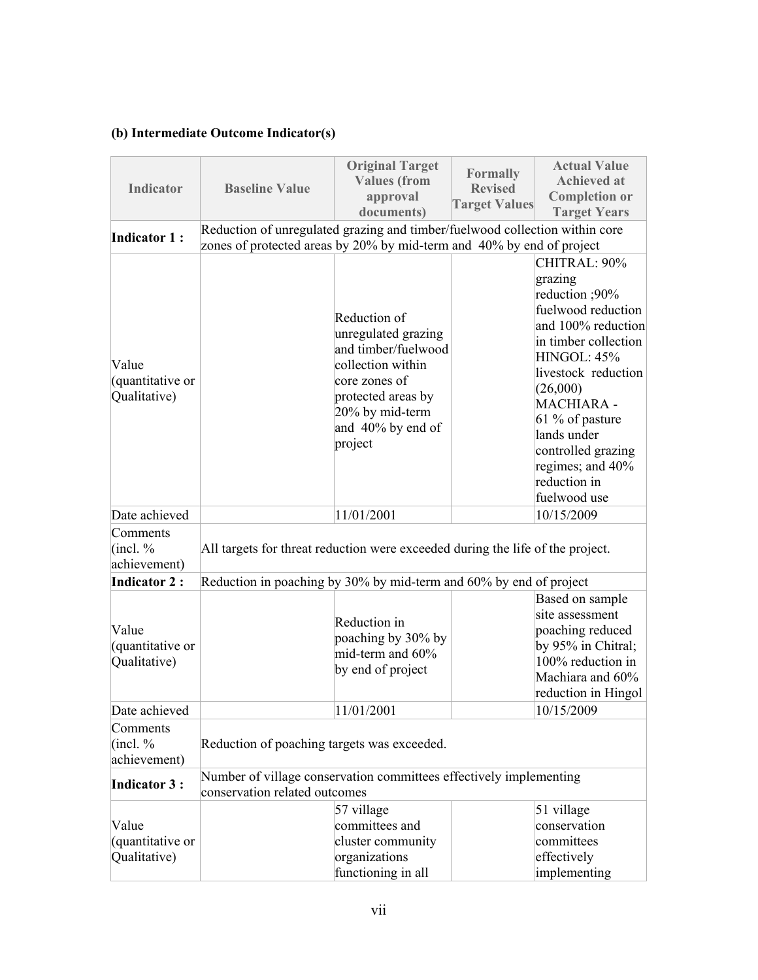### **(b) Intermediate Outcome Indicator(s)**

| <b>Indicator</b>                          | <b>Baseline Value</b>                                                                                                                                | <b>Original Target</b><br><b>Values (from</b><br>approval<br>documents)                                                                                                   | <b>Formally</b><br><b>Revised</b><br><b>Target Values</b> | <b>Actual Value</b><br><b>Achieved at</b><br><b>Completion or</b><br><b>Target Years</b>                                                                                                                                                                                                  |
|-------------------------------------------|------------------------------------------------------------------------------------------------------------------------------------------------------|---------------------------------------------------------------------------------------------------------------------------------------------------------------------------|-----------------------------------------------------------|-------------------------------------------------------------------------------------------------------------------------------------------------------------------------------------------------------------------------------------------------------------------------------------------|
| <b>Indicator 1:</b>                       | Reduction of unregulated grazing and timber/fuelwood collection within core<br>zones of protected areas by 20% by mid-term and 40% by end of project |                                                                                                                                                                           |                                                           |                                                                                                                                                                                                                                                                                           |
| Value<br>(quantitative or<br>Qualitative) |                                                                                                                                                      | Reduction of<br>unregulated grazing<br>and timber/fuelwood<br>collection within<br>core zones of<br>protected areas by<br>20% by mid-term<br>and 40% by end of<br>project |                                                           | CHITRAL: 90%<br>grazing<br>reduction ;90%<br>fuelwood reduction<br>and 100% reduction<br>in timber collection<br>HINGOL: 45%<br>livestock reduction<br>(26,000)<br>MACHIARA -<br>61 % of pasture<br>lands under<br>controlled grazing<br>regimes; and 40%<br>reduction in<br>fuelwood use |
| Date achieved                             |                                                                                                                                                      | 11/01/2001                                                                                                                                                                |                                                           | 10/15/2009                                                                                                                                                                                                                                                                                |
| Comments<br>(incl. %<br>achievement)      | All targets for threat reduction were exceeded during the life of the project.                                                                       |                                                                                                                                                                           |                                                           |                                                                                                                                                                                                                                                                                           |
| <b>Indicator 2:</b>                       | Reduction in poaching by 30% by mid-term and 60% by end of project                                                                                   |                                                                                                                                                                           |                                                           |                                                                                                                                                                                                                                                                                           |
| Value<br>(quantitative or<br>Qualitative) |                                                                                                                                                      | Reduction in<br>poaching by 30% by<br>mid-term and $60\%$<br>by end of project                                                                                            |                                                           | Based on sample<br>site assessment<br>poaching reduced<br>by 95% in Chitral;<br>100% reduction in<br>Machiara and 60%<br>reduction in Hingol                                                                                                                                              |
| Date achieved                             |                                                                                                                                                      | 11/01/2001                                                                                                                                                                |                                                           | 10/15/2009                                                                                                                                                                                                                                                                                |
| Comments<br>(incl. %<br>achievement)      | Reduction of poaching targets was exceeded.                                                                                                          |                                                                                                                                                                           |                                                           |                                                                                                                                                                                                                                                                                           |
| <b>Indicator 3:</b>                       | Number of village conservation committees effectively implementing<br>conservation related outcomes                                                  |                                                                                                                                                                           |                                                           |                                                                                                                                                                                                                                                                                           |
| Value<br>(quantitative or<br>Qualitative) |                                                                                                                                                      | 57 village<br>committees and<br>cluster community<br>organizations<br>functioning in all                                                                                  |                                                           | 51 village<br>conservation<br>committees<br>effectively<br>implementing                                                                                                                                                                                                                   |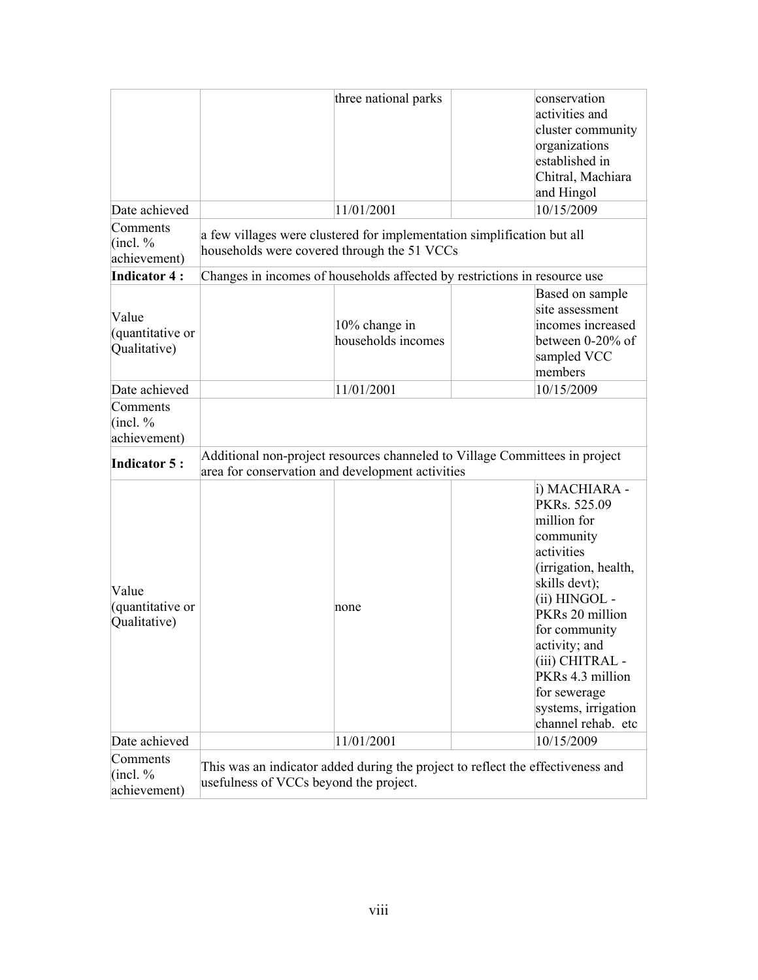|                                           |                                                                                                                        | three national parks                | conservation<br>activities and<br>cluster community<br>organizations<br>established in<br>Chitral, Machiara<br>and Hingol                                                                                                                                                                  |
|-------------------------------------------|------------------------------------------------------------------------------------------------------------------------|-------------------------------------|--------------------------------------------------------------------------------------------------------------------------------------------------------------------------------------------------------------------------------------------------------------------------------------------|
| Date achieved                             |                                                                                                                        | 11/01/2001                          | 10/15/2009                                                                                                                                                                                                                                                                                 |
| Comments<br>(incl. %<br>achievement)      | a few villages were clustered for implementation simplification but all<br>households were covered through the 51 VCCs |                                     |                                                                                                                                                                                                                                                                                            |
| <b>Indicator 4:</b>                       |                                                                                                                        |                                     | Changes in incomes of households affected by restrictions in resource use                                                                                                                                                                                                                  |
| Value<br>(quantitative or<br>Qualitative) |                                                                                                                        | 10% change in<br>households incomes | Based on sample<br>site assessment<br>incomes increased<br>between 0-20% of<br>sampled VCC<br>members                                                                                                                                                                                      |
| Date achieved                             |                                                                                                                        | 11/01/2001                          | 10/15/2009                                                                                                                                                                                                                                                                                 |
| Comments<br>(incl. %<br>achievement)      |                                                                                                                        |                                     |                                                                                                                                                                                                                                                                                            |
| Indicator 5:                              | area for conservation and development activities                                                                       |                                     | Additional non-project resources channeled to Village Committees in project                                                                                                                                                                                                                |
| Value<br>(quantitative or<br>Qualitative) |                                                                                                                        | none                                | i) MACHIARA -<br>PKRs. 525.09<br>million for<br>community<br>activities<br>(irrigation, health,<br>skills devt);<br>(ii) HINGOL -<br>PKRs 20 million<br>for community<br>activity; and<br>(iii) CHITRAL -<br>PKRs 4.3 million<br>for sewerage<br>systems, irrigation<br>channel rehab. etc |
| Date achieved                             |                                                                                                                        | 11/01/2001                          | 10/15/2009                                                                                                                                                                                                                                                                                 |
| Comments<br>(incl. %<br>achievement)      | usefulness of VCCs beyond the project.                                                                                 |                                     | This was an indicator added during the project to reflect the effectiveness and                                                                                                                                                                                                            |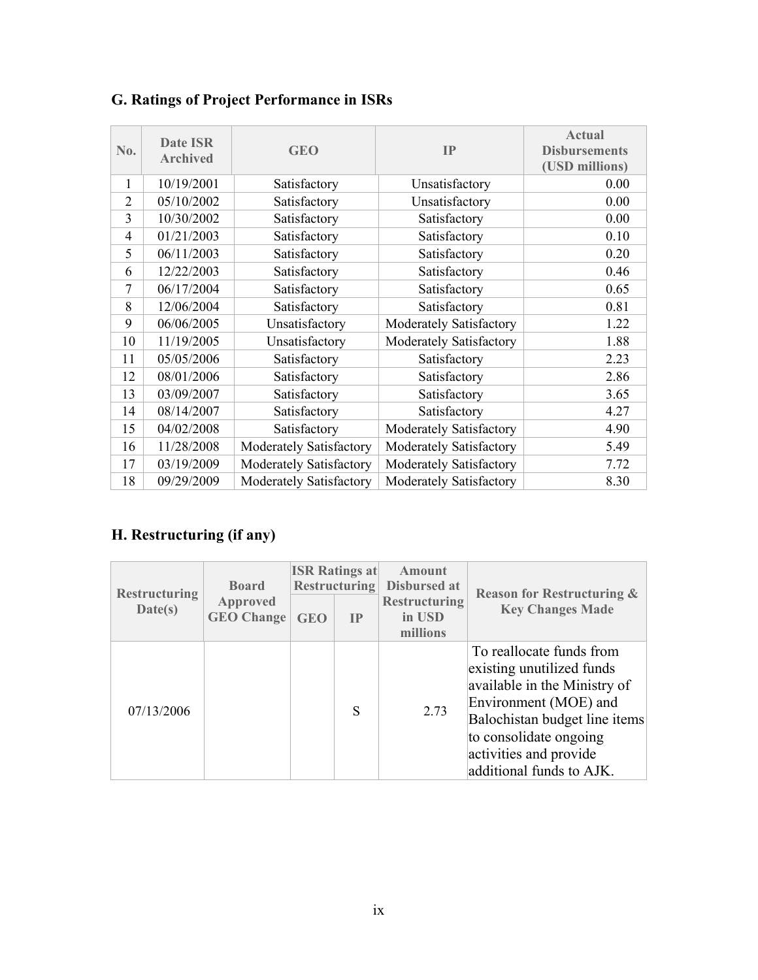| No.            | Date ISR<br><b>Archived</b> | <b>GEO</b>              | IP                      | <b>Actual</b><br><b>Disbursements</b><br>(USD millions) |
|----------------|-----------------------------|-------------------------|-------------------------|---------------------------------------------------------|
| 1              | 10/19/2001                  | Satisfactory            | Unsatisfactory          | 0.00                                                    |
| $\overline{2}$ | 05/10/2002                  | Satisfactory            | Unsatisfactory          | 0.00                                                    |
| 3              | 10/30/2002                  | Satisfactory            | Satisfactory            | 0.00                                                    |
| $\overline{4}$ | 01/21/2003                  | Satisfactory            | Satisfactory            | 0.10                                                    |
| 5              | 06/11/2003                  | Satisfactory            | Satisfactory            | 0.20                                                    |
| 6              | 12/22/2003                  | Satisfactory            | Satisfactory            | 0.46                                                    |
| 7              | 06/17/2004                  | Satisfactory            | Satisfactory            | 0.65                                                    |
| 8              | 12/06/2004                  | Satisfactory            | Satisfactory            | 0.81                                                    |
| 9              | 06/06/2005                  | Unsatisfactory          | Moderately Satisfactory | 1.22                                                    |
| 10             | 11/19/2005                  | Unsatisfactory          | Moderately Satisfactory | 1.88                                                    |
| 11             | 05/05/2006                  | Satisfactory            | Satisfactory            | 2.23                                                    |
| 12             | 08/01/2006                  | Satisfactory            | Satisfactory            | 2.86                                                    |
| 13             | 03/09/2007                  | Satisfactory            | Satisfactory            | 3.65                                                    |
| 14             | 08/14/2007                  | Satisfactory            | Satisfactory            | 4.27                                                    |
| 15             | 04/02/2008                  | Satisfactory            | Moderately Satisfactory | 4.90                                                    |
| 16             | 11/28/2008                  | Moderately Satisfactory | Moderately Satisfactory | 5.49                                                    |
| 17             | 03/19/2009                  | Moderately Satisfactory | Moderately Satisfactory | 7.72                                                    |
| 18             | 09/29/2009                  | Moderately Satisfactory | Moderately Satisfactory | 8.30                                                    |

# <span id="page-8-0"></span>**G. Ratings of Project Performance in ISRs**

# <span id="page-8-1"></span>**H. Restructuring (if any)**

| <b>Restructuring</b> | <b>Board</b><br><b>Approved</b><br><b>GEO Change</b> | <b>ISR Ratings at</b><br><b>Restructuring</b> |    | Amount<br>Disbursed at                     | <b>Reason for Restructuring &amp;</b>                                                                                                                                                                                           |
|----------------------|------------------------------------------------------|-----------------------------------------------|----|--------------------------------------------|---------------------------------------------------------------------------------------------------------------------------------------------------------------------------------------------------------------------------------|
| Date(s)              |                                                      | <b>GEO</b>                                    | IP | <b>Restructuring</b><br>in USD<br>millions | <b>Key Changes Made</b>                                                                                                                                                                                                         |
| 07/13/2006           |                                                      |                                               | S  | 2.73                                       | To reallocate funds from<br>existing unutilized funds<br>available in the Ministry of<br>Environment (MOE) and<br>Balochistan budget line items<br>to consolidate ongoing<br>activities and provide<br>additional funds to AJK. |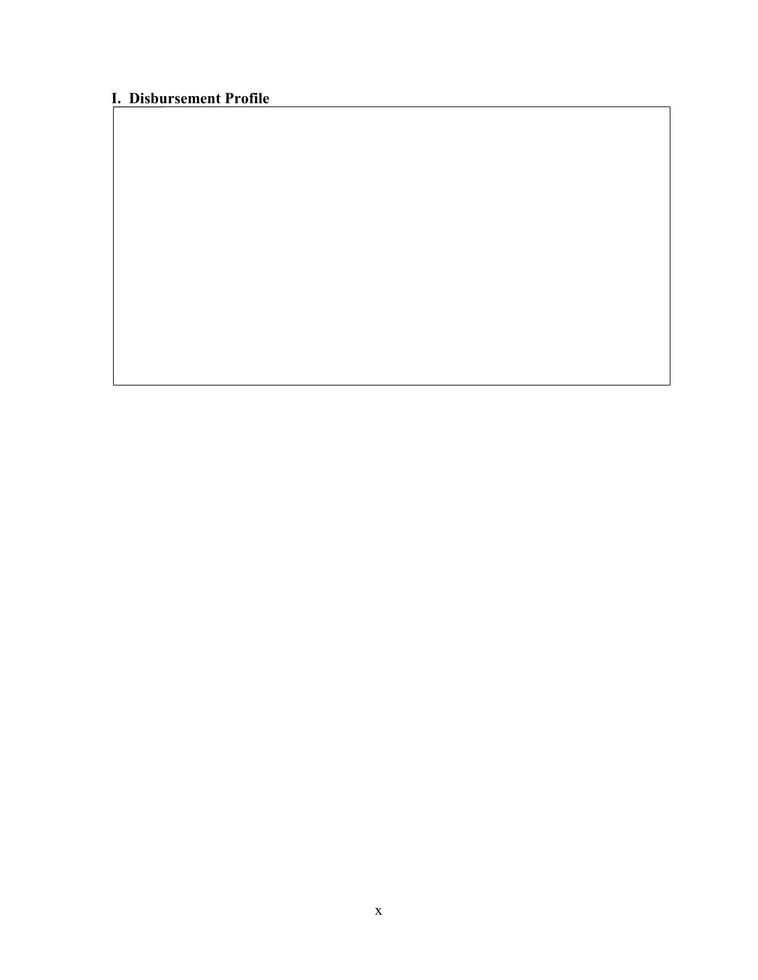# <span id="page-9-0"></span>**I. Disbursement Profile**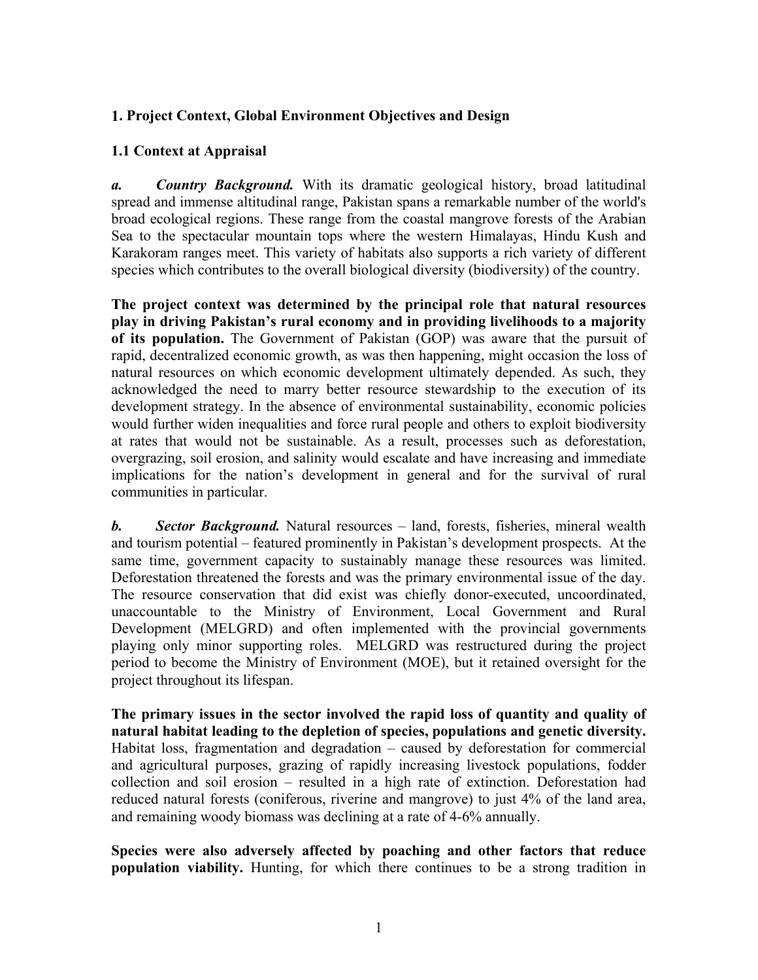#### <span id="page-10-0"></span>**1. Project Context, Global Environment Objectives and Design**

#### **1.1 Context at Appraisal**

*a. Country Background.* With its dramatic geological history, broad latitudinal spread and immense altitudinal range, Pakistan spans a remarkable number of the world's broad ecological regions. These range from the coastal mangrove forests of the Arabian Sea to the spectacular mountain tops where the western Himalayas, Hindu Kush and Karakoram ranges meet. This variety of habitats also supports a rich variety of different species which contributes to the overall biological diversity (biodiversity) of the country.

**The project context was determined by the principal role that natural resources play in driving Pakistan's rural economy and in providing livelihoods to a majority of its population.** The Government of Pakistan (GOP) was aware that the pursuit of rapid, decentralized economic growth, as was then happening, might occasion the loss of natural resources on which economic development ultimately depended. As such, they acknowledged the need to marry better resource stewardship to the execution of its development strategy. In the absence of environmental sustainability, economic policies would further widen inequalities and force rural people and others to exploit biodiversity at rates that would not be sustainable. As a result, processes such as deforestation, overgrazing, soil erosion, and salinity would escalate and have increasing and immediate implications for the nation's development in general and for the survival of rural communities in particular.

*b. Sector Background.* Natural resources – land, forests, fisheries, mineral wealth and tourism potential – featured prominently in Pakistan's development prospects. At the same time, government capacity to sustainably manage these resources was limited. Deforestation threatened the forests and was the primary environmental issue of the day. The resource conservation that did exist was chiefly donor-executed, uncoordinated, unaccountable to the Ministry of Environment, Local Government and Rural Development (MELGRD) and often implemented with the provincial governments playing only minor supporting roles. MELGRD was restructured during the project period to become the Ministry of Environment (MOE), but it retained oversight for the project throughout its lifespan.

**The primary issues in the sector involved the rapid loss of quantity and quality of natural habitat leading to the depletion of species, populations and genetic diversity.** Habitat loss, fragmentation and degradation – caused by deforestation for commercial and agricultural purposes, grazing of rapidly increasing livestock populations, fodder collection and soil erosion – resulted in a high rate of extinction. Deforestation had reduced natural forests (coniferous, riverine and mangrove) to just 4% of the land area, and remaining woody biomass was declining at a rate of 4-6% annually.

**Species were also adversely affected by poaching and other factors that reduce population viability.** Hunting, for which there continues to be a strong tradition in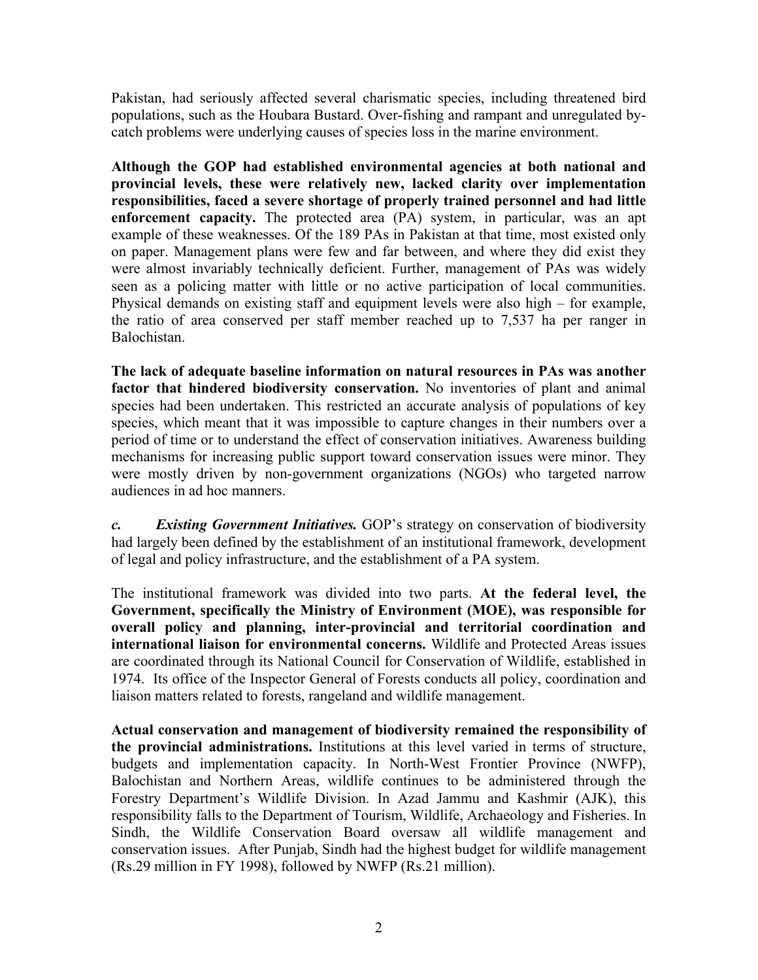Pakistan, had seriously affected several charismatic species, including threatened bird populations, such as the Houbara Bustard. Over-fishing and rampant and unregulated bycatch problems were underlying causes of species loss in the marine environment.

**Although the GOP had established environmental agencies at both national and provincial levels, these were relatively new, lacked clarity over implementation responsibilities, faced a severe shortage of properly trained personnel and had little enforcement capacity.** The protected area (PA) system, in particular, was an apt example of these weaknesses. Of the 189 PAs in Pakistan at that time, most existed only on paper. Management plans were few and far between, and where they did exist they were almost invariably technically deficient. Further, management of PAs was widely seen as a policing matter with little or no active participation of local communities. Physical demands on existing staff and equipment levels were also high – for example, the ratio of area conserved per staff member reached up to 7,537 ha per ranger in Balochistan.

**The lack of adequate baseline information on natural resources in PAs was another factor that hindered biodiversity conservation.** No inventories of plant and animal species had been undertaken. This restricted an accurate analysis of populations of key species, which meant that it was impossible to capture changes in their numbers over a period of time or to understand the effect of conservation initiatives. Awareness building mechanisms for increasing public support toward conservation issues were minor. They were mostly driven by non-government organizations (NGOs) who targeted narrow audiences in ad hoc manners.

*c. Existing Government Initiatives.* GOP's strategy on conservation of biodiversity had largely been defined by the establishment of an institutional framework, development of legal and policy infrastructure, and the establishment of a PA system.

The institutional framework was divided into two parts. **At the federal level, the Government, specifically the Ministry of Environment (MOE), was responsible for overall policy and planning, inter-provincial and territorial coordination and international liaison for environmental concerns.** Wildlife and Protected Areas issues are coordinated through its National Council for Conservation of Wildlife, established in 1974. Its office of the Inspector General of Forests conducts all policy, coordination and liaison matters related to forests, rangeland and wildlife management.

**Actual conservation and management of biodiversity remained the responsibility of the provincial administrations.** Institutions at this level varied in terms of structure, budgets and implementation capacity. In North-West Frontier Province (NWFP), Balochistan and Northern Areas, wildlife continues to be administered through the Forestry Department's Wildlife Division. In Azad Jammu and Kashmir (AJK), this responsibility falls to the Department of Tourism, Wildlife, Archaeology and Fisheries. In Sindh, the Wildlife Conservation Board oversaw all wildlife management and conservation issues. After Punjab, Sindh had the highest budget for wildlife management (Rs.29 million in FY 1998), followed by NWFP (Rs.21 million).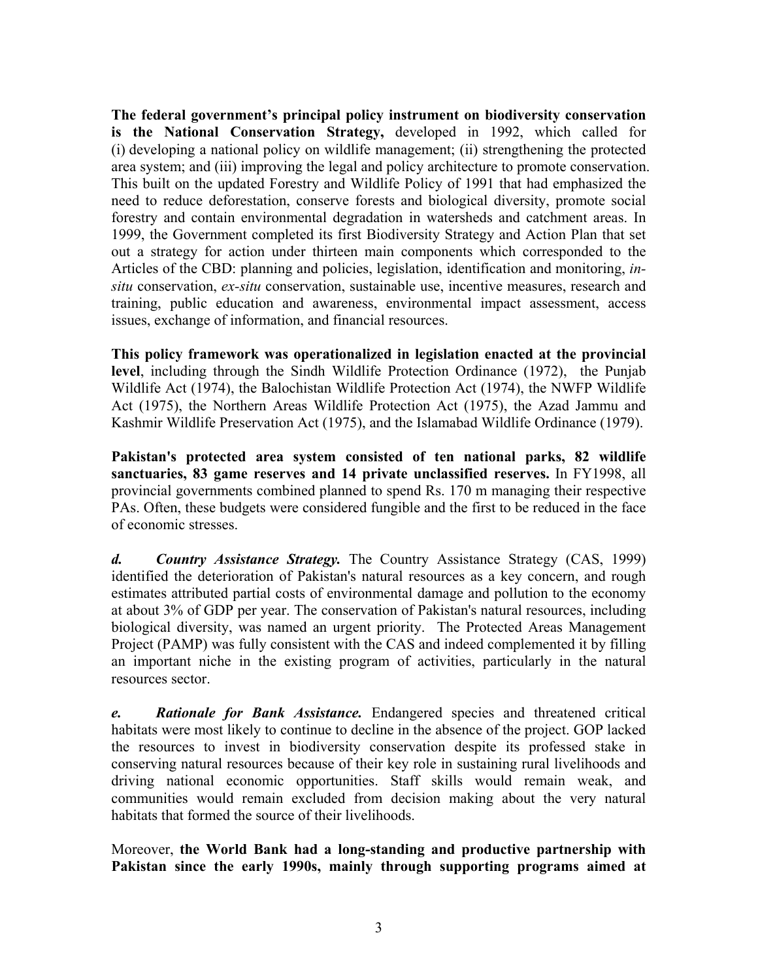**The federal government's principal policy instrument on biodiversity conservation is the National Conservation Strategy,** developed in 1992, which called for (i) developing a national policy on wildlife management; (ii) strengthening the protected area system; and (iii) improving the legal and policy architecture to promote conservation. This built on the updated Forestry and Wildlife Policy of 1991 that had emphasized the need to reduce deforestation, conserve forests and biological diversity, promote social forestry and contain environmental degradation in watersheds and catchment areas. In 1999, the Government completed its first Biodiversity Strategy and Action Plan that set out a strategy for action under thirteen main components which corresponded to the Articles of the CBD: planning and policies, legislation, identification and monitoring, *insitu* conservation, *ex-situ* conservation, sustainable use, incentive measures, research and training, public education and awareness, environmental impact assessment, access issues, exchange of information, and financial resources.

**This policy framework was operationalized in legislation enacted at the provincial level**, including through the Sindh Wildlife Protection Ordinance (1972), the Punjab Wildlife Act (1974), the Balochistan Wildlife Protection Act (1974), the NWFP Wildlife Act (1975), the Northern Areas Wildlife Protection Act (1975), the Azad Jammu and Kashmir Wildlife Preservation Act (1975), and the Islamabad Wildlife Ordinance (1979).

**Pakistan's protected area system consisted of ten national parks, 82 wildlife sanctuaries, 83 game reserves and 14 private unclassified reserves.** In FY1998, all provincial governments combined planned to spend Rs. 170 m managing their respective PAs. Often, these budgets were considered fungible and the first to be reduced in the face of economic stresses.

*d. Country Assistance Strategy.* The Country Assistance Strategy (CAS, 1999) identified the deterioration of Pakistan's natural resources as a key concern, and rough estimates attributed partial costs of environmental damage and pollution to the economy at about 3% of GDP per year. The conservation of Pakistan's natural resources, including biological diversity, was named an urgent priority. The Protected Areas Management Project (PAMP) was fully consistent with the CAS and indeed complemented it by filling an important niche in the existing program of activities, particularly in the natural resources sector.

*e. Rationale for Bank Assistance.* Endangered species and threatened critical habitats were most likely to continue to decline in the absence of the project. GOP lacked the resources to invest in biodiversity conservation despite its professed stake in conserving natural resources because of their key role in sustaining rural livelihoods and driving national economic opportunities. Staff skills would remain weak, and communities would remain excluded from decision making about the very natural habitats that formed the source of their livelihoods.

Moreover, **the World Bank had a long-standing and productive partnership with Pakistan since the early 1990s, mainly through supporting programs aimed at**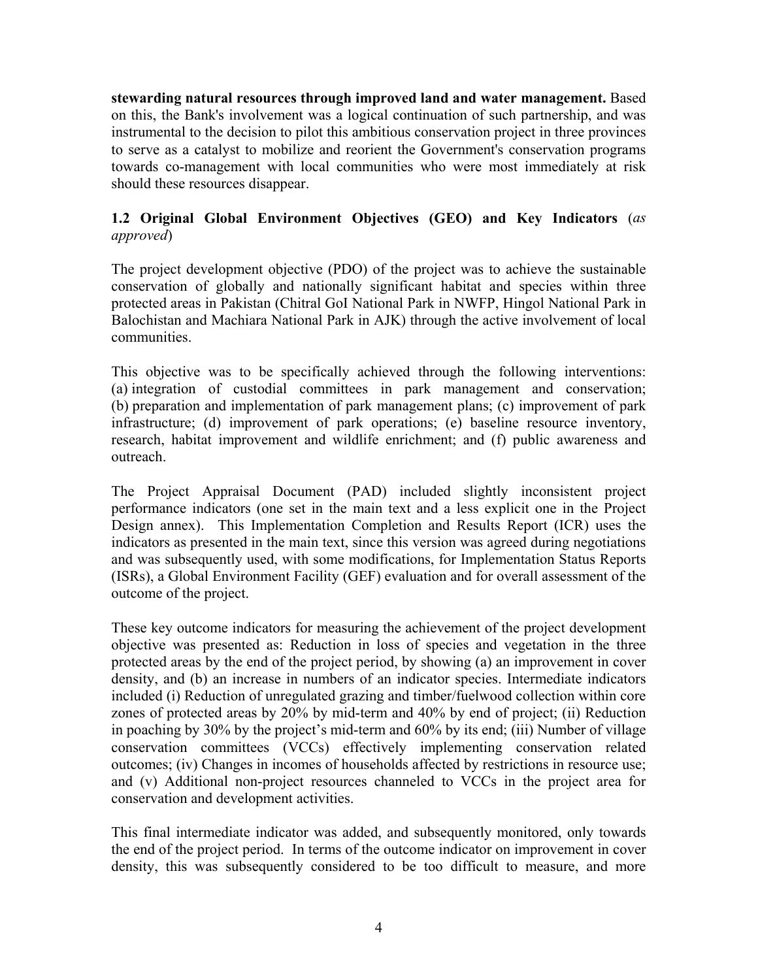**stewarding natural resources through improved land and water management.** Based on this, the Bank's involvement was a logical continuation of such partnership, and was instrumental to the decision to pilot this ambitious conservation project in three provinces to serve as a catalyst to mobilize and reorient the Government's conservation programs towards co-management with local communities who were most immediately at risk should these resources disappear.

#### **1.2 Original Global Environment Objectives (GEO) and Key Indicators** (*as approved*)

The project development objective (PDO) of the project was to achieve the sustainable conservation of globally and nationally significant habitat and species within three protected areas in Pakistan (Chitral GoI National Park in NWFP, Hingol National Park in Balochistan and Machiara National Park in AJK) through the active involvement of local communities.

This objective was to be specifically achieved through the following interventions: (a) integration of custodial committees in park management and conservation; (b) preparation and implementation of park management plans; (c) improvement of park infrastructure; (d) improvement of park operations; (e) baseline resource inventory, research, habitat improvement and wildlife enrichment; and (f) public awareness and outreach.

The Project Appraisal Document (PAD) included slightly inconsistent project performance indicators (one set in the main text and a less explicit one in the Project Design annex). This Implementation Completion and Results Report (ICR) uses the indicators as presented in the main text, since this version was agreed during negotiations and was subsequently used, with some modifications, for Implementation Status Reports (ISRs), a Global Environment Facility (GEF) evaluation and for overall assessment of the outcome of the project.

These key outcome indicators for measuring the achievement of the project development objective was presented as: Reduction in loss of species and vegetation in the three protected areas by the end of the project period, by showing (a) an improvement in cover density, and (b) an increase in numbers of an indicator species. Intermediate indicators included (i) Reduction of unregulated grazing and timber/fuelwood collection within core zones of protected areas by 20% by mid-term and 40% by end of project; (ii) Reduction in poaching by 30% by the project's mid-term and 60% by its end; (iii) Number of village conservation committees (VCCs) effectively implementing conservation related outcomes; (iv) Changes in incomes of households affected by restrictions in resource use; and (v) Additional non-project resources channeled to VCCs in the project area for conservation and development activities.

This final intermediate indicator was added, and subsequently monitored, only towards the end of the project period. In terms of the outcome indicator on improvement in cover density, this was subsequently considered to be too difficult to measure, and more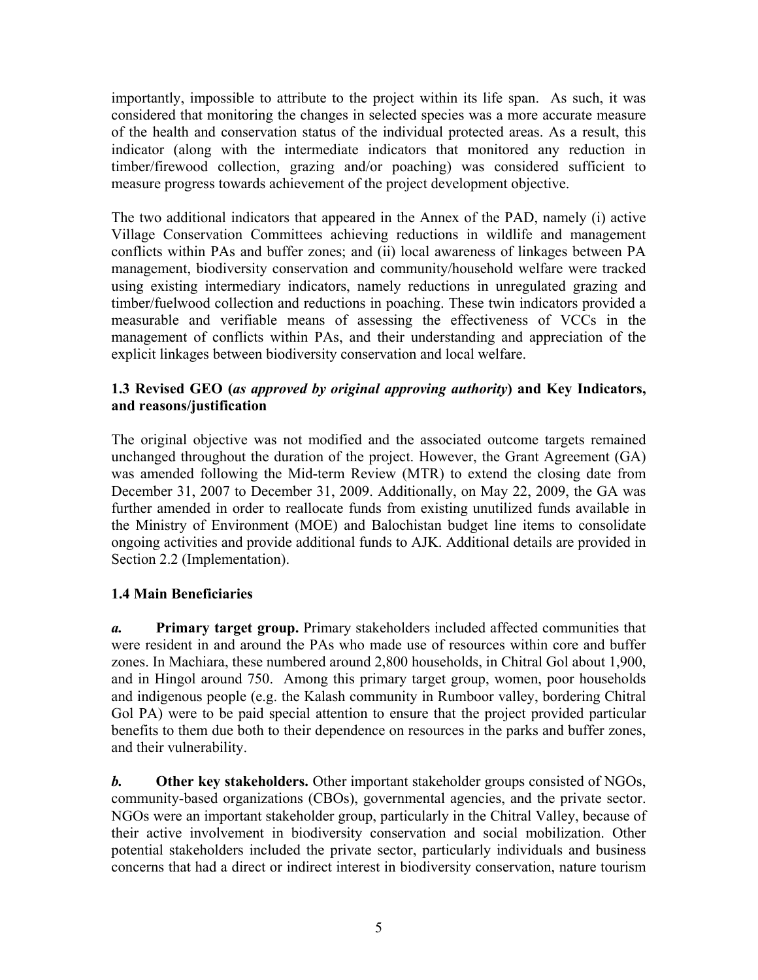importantly, impossible to attribute to the project within its life span. As such, it was considered that monitoring the changes in selected species was a more accurate measure of the health and conservation status of the individual protected areas. As a result, this indicator (along with the intermediate indicators that monitored any reduction in timber/firewood collection, grazing and/or poaching) was considered sufficient to measure progress towards achievement of the project development objective.

The two additional indicators that appeared in the Annex of the PAD, namely (i) active Village Conservation Committees achieving reductions in wildlife and management conflicts within PAs and buffer zones; and (ii) local awareness of linkages between PA management, biodiversity conservation and community/household welfare were tracked using existing intermediary indicators, namely reductions in unregulated grazing and timber/fuelwood collection and reductions in poaching. These twin indicators provided a measurable and verifiable means of assessing the effectiveness of VCCs in the management of conflicts within PAs, and their understanding and appreciation of the explicit linkages between biodiversity conservation and local welfare.

#### **1.3 Revised GEO (***as approved by original approving authority***) and Key Indicators, and reasons/justification**

The original objective was not modified and the associated outcome targets remained unchanged throughout the duration of the project. However, the Grant Agreement (GA) was amended following the Mid-term Review (MTR) to extend the closing date from December 31, 2007 to December 31, 2009. Additionally, on May 22, 2009, the GA was further amended in order to reallocate funds from existing unutilized funds available in the Ministry of Environment (MOE) and Balochistan budget line items to consolidate ongoing activities and provide additional funds to AJK. Additional details are provided in Section 2.2 (Implementation).

#### **1.4 Main Beneficiaries**

*a.* **Primary target group.** Primary stakeholders included affected communities that were resident in and around the PAs who made use of resources within core and buffer zones. In Machiara, these numbered around 2,800 households, in Chitral Gol about 1,900, and in Hingol around 750. Among this primary target group, women, poor households and indigenous people (e.g. the Kalash community in Rumboor valley, bordering Chitral Gol PA) were to be paid special attention to ensure that the project provided particular benefits to them due both to their dependence on resources in the parks and buffer zones, and their vulnerability.

*b.* **Other key stakeholders.** Other important stakeholder groups consisted of NGOs, community-based organizations (CBOs), governmental agencies, and the private sector. NGOs were an important stakeholder group, particularly in the Chitral Valley, because of their active involvement in biodiversity conservation and social mobilization. Other potential stakeholders included the private sector, particularly individuals and business concerns that had a direct or indirect interest in biodiversity conservation, nature tourism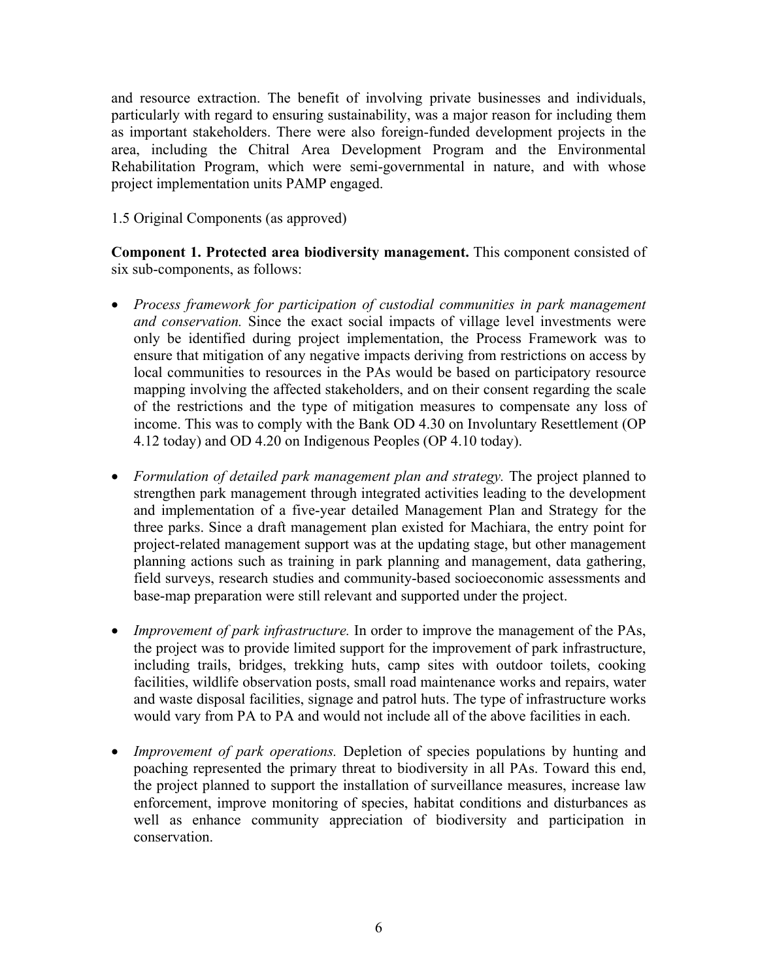and resource extraction. The benefit of involving private businesses and individuals, particularly with regard to ensuring sustainability, was a major reason for including them as important stakeholders. There were also foreign-funded development projects in the area, including the Chitral Area Development Program and the Environmental Rehabilitation Program, which were semi-governmental in nature, and with whose project implementation units PAMP engaged.

#### 1.5 Original Components (as approved)

**Component 1. Protected area biodiversity management.** This component consisted of six sub-components, as follows:

- *Process framework for participation of custodial communities in park management and conservation.* Since the exact social impacts of village level investments were only be identified during project implementation, the Process Framework was to ensure that mitigation of any negative impacts deriving from restrictions on access by local communities to resources in the PAs would be based on participatory resource mapping involving the affected stakeholders, and on their consent regarding the scale of the restrictions and the type of mitigation measures to compensate any loss of income. This was to comply with the Bank OD 4.30 on Involuntary Resettlement (OP 4.12 today) and OD 4.20 on Indigenous Peoples (OP 4.10 today).
- *Formulation of detailed park management plan and strategy.* The project planned to strengthen park management through integrated activities leading to the development and implementation of a five-year detailed Management Plan and Strategy for the three parks. Since a draft management plan existed for Machiara, the entry point for project-related management support was at the updating stage, but other management planning actions such as training in park planning and management, data gathering, field surveys, research studies and community-based socioeconomic assessments and base-map preparation were still relevant and supported under the project.
- *Improvement of park infrastructure.* In order to improve the management of the PAs, the project was to provide limited support for the improvement of park infrastructure, including trails, bridges, trekking huts, camp sites with outdoor toilets, cooking facilities, wildlife observation posts, small road maintenance works and repairs, water and waste disposal facilities, signage and patrol huts. The type of infrastructure works would vary from PA to PA and would not include all of the above facilities in each.
- *Improvement of park operations.* Depletion of species populations by hunting and poaching represented the primary threat to biodiversity in all PAs. Toward this end, the project planned to support the installation of surveillance measures, increase law enforcement, improve monitoring of species, habitat conditions and disturbances as well as enhance community appreciation of biodiversity and participation in conservation.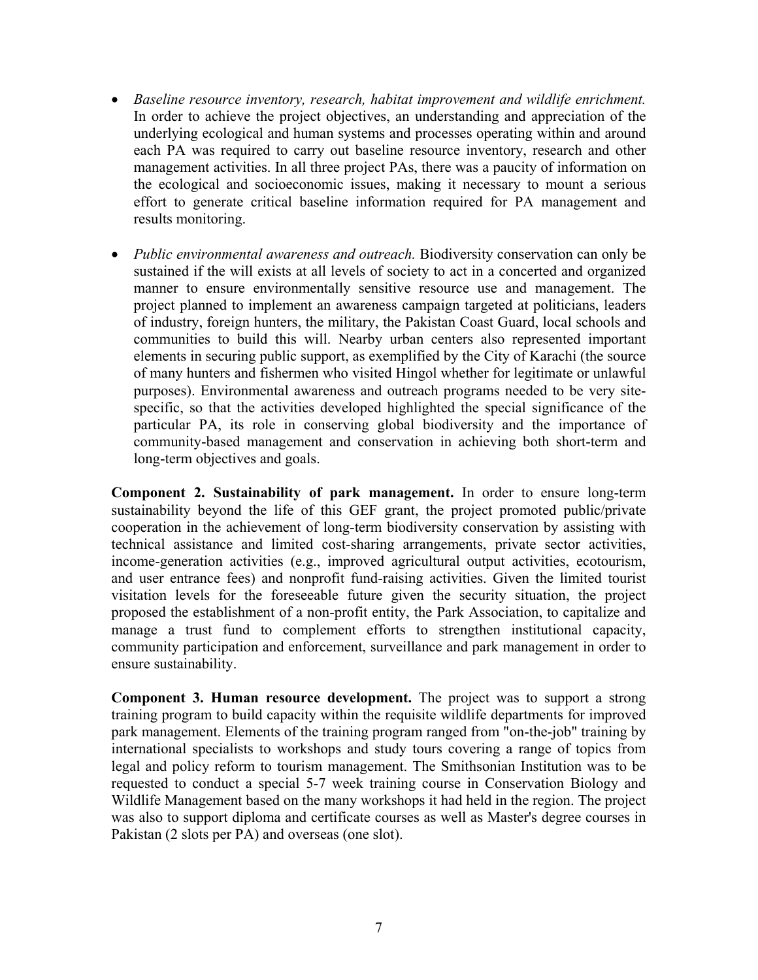- *Baseline resource inventory, research, habitat improvement and wildlife enrichment.* In order to achieve the project objectives, an understanding and appreciation of the underlying ecological and human systems and processes operating within and around each PA was required to carry out baseline resource inventory, research and other management activities. In all three project PAs, there was a paucity of information on the ecological and socioeconomic issues, making it necessary to mount a serious effort to generate critical baseline information required for PA management and results monitoring.
- *Public environmental awareness and outreach.* Biodiversity conservation can only be sustained if the will exists at all levels of society to act in a concerted and organized manner to ensure environmentally sensitive resource use and management. The project planned to implement an awareness campaign targeted at politicians, leaders of industry, foreign hunters, the military, the Pakistan Coast Guard, local schools and communities to build this will. Nearby urban centers also represented important elements in securing public support, as exemplified by the City of Karachi (the source of many hunters and fishermen who visited Hingol whether for legitimate or unlawful purposes). Environmental awareness and outreach programs needed to be very sitespecific, so that the activities developed highlighted the special significance of the particular PA, its role in conserving global biodiversity and the importance of community-based management and conservation in achieving both short-term and long-term objectives and goals.

**Component 2. Sustainability of park management.** In order to ensure long-term sustainability beyond the life of this GEF grant, the project promoted public/private cooperation in the achievement of long-term biodiversity conservation by assisting with technical assistance and limited cost-sharing arrangements, private sector activities, income-generation activities (e.g., improved agricultural output activities, ecotourism, and user entrance fees) and nonprofit fund-raising activities. Given the limited tourist visitation levels for the foreseeable future given the security situation, the project proposed the establishment of a non-profit entity, the Park Association, to capitalize and manage a trust fund to complement efforts to strengthen institutional capacity, community participation and enforcement, surveillance and park management in order to ensure sustainability.

**Component 3. Human resource development.** The project was to support a strong training program to build capacity within the requisite wildlife departments for improved park management. Elements of the training program ranged from "on-the-job" training by international specialists to workshops and study tours covering a range of topics from legal and policy reform to tourism management. The Smithsonian Institution was to be requested to conduct a special 5-7 week training course in Conservation Biology and Wildlife Management based on the many workshops it had held in the region. The project was also to support diploma and certificate courses as well as Master's degree courses in Pakistan (2 slots per PA) and overseas (one slot).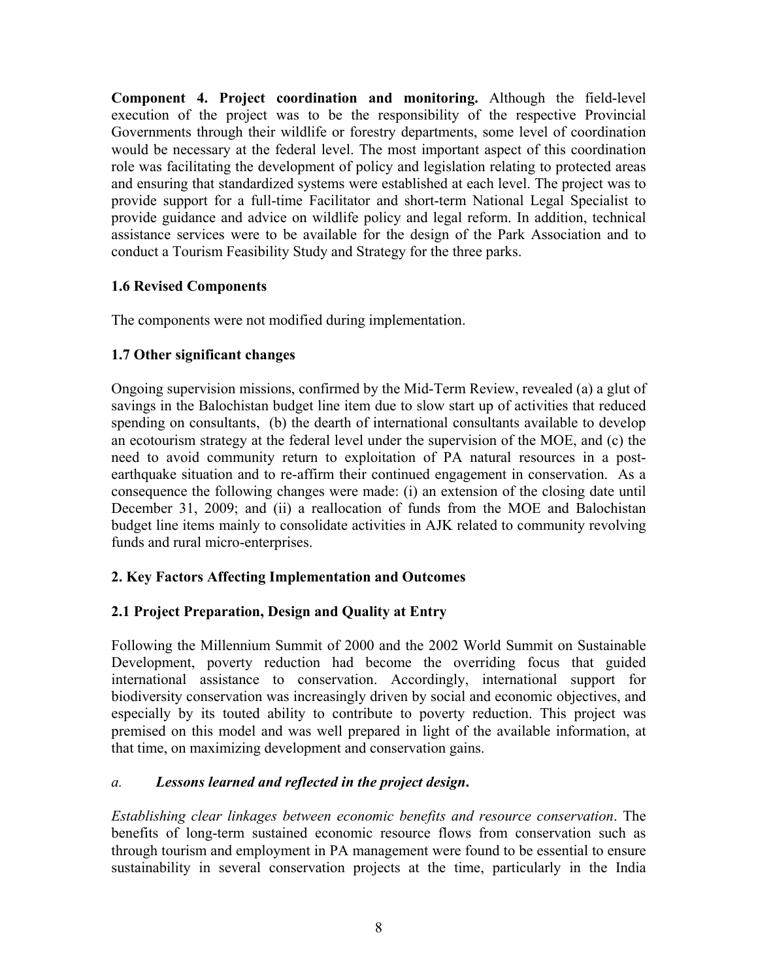**Component 4. Project coordination and monitoring.** Although the field-level execution of the project was to be the responsibility of the respective Provincial Governments through their wildlife or forestry departments, some level of coordination would be necessary at the federal level. The most important aspect of this coordination role was facilitating the development of policy and legislation relating to protected areas and ensuring that standardized systems were established at each level. The project was to provide support for a full-time Facilitator and short-term National Legal Specialist to provide guidance and advice on wildlife policy and legal reform. In addition, technical assistance services were to be available for the design of the Park Association and to conduct a Tourism Feasibility Study and Strategy for the three parks.

#### **1.6 Revised Components**

The components were not modified during implementation.

#### **1.7 Other significant changes**

Ongoing supervision missions, confirmed by the Mid-Term Review, revealed (a) a glut of savings in the Balochistan budget line item due to slow start up of activities that reduced spending on consultants, (b) the dearth of international consultants available to develop an ecotourism strategy at the federal level under the supervision of the MOE, and (c) the need to avoid community return to exploitation of PA natural resources in a postearthquake situation and to re-affirm their continued engagement in conservation. As a consequence the following changes were made: (i) an extension of the closing date until December 31, 2009; and (ii) a reallocation of funds from the MOE and Balochistan budget line items mainly to consolidate activities in AJK related to community revolving funds and rural micro-enterprises.

#### <span id="page-17-0"></span>**2. Key Factors Affecting Implementation and Outcomes**

#### **2.1 Project Preparation, Design and Quality at Entry**

Following the Millennium Summit of 2000 and the 2002 World Summit on Sustainable Development, poverty reduction had become the overriding focus that guided international assistance to conservation. Accordingly, international support for biodiversity conservation was increasingly driven by social and economic objectives, and especially by its touted ability to contribute to poverty reduction. This project was premised on this model and was well prepared in light of the available information, at that time, on maximizing development and conservation gains.

#### *a. Lessons learned and reflected in the project design***.**

*Establishing clear linkages between economic benefits and resource conservation*. The benefits of long-term sustained economic resource flows from conservation such as through tourism and employment in PA management were found to be essential to ensure sustainability in several conservation projects at the time, particularly in the India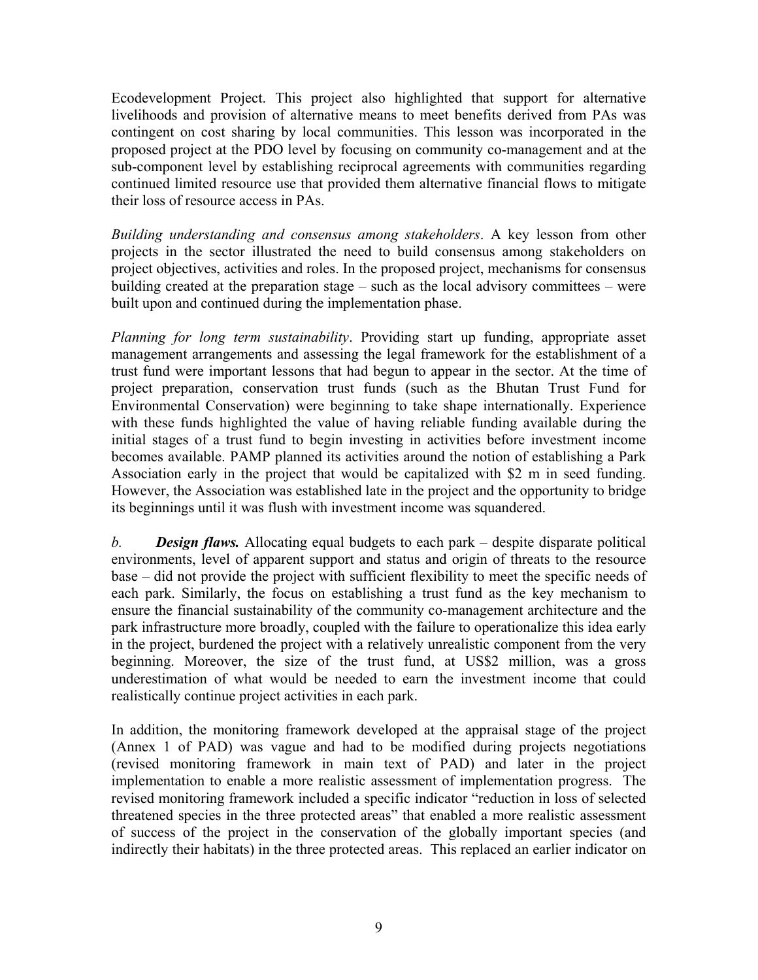Ecodevelopment Project. This project also highlighted that support for alternative livelihoods and provision of alternative means to meet benefits derived from PAs was contingent on cost sharing by local communities. This lesson was incorporated in the proposed project at the PDO level by focusing on community co-management and at the sub-component level by establishing reciprocal agreements with communities regarding continued limited resource use that provided them alternative financial flows to mitigate their loss of resource access in PAs.

*Building understanding and consensus among stakeholders*. A key lesson from other projects in the sector illustrated the need to build consensus among stakeholders on project objectives, activities and roles. In the proposed project, mechanisms for consensus building created at the preparation stage – such as the local advisory committees – were built upon and continued during the implementation phase.

*Planning for long term sustainability*. Providing start up funding, appropriate asset management arrangements and assessing the legal framework for the establishment of a trust fund were important lessons that had begun to appear in the sector. At the time of project preparation, conservation trust funds (such as the Bhutan Trust Fund for Environmental Conservation) were beginning to take shape internationally. Experience with these funds highlighted the value of having reliable funding available during the initial stages of a trust fund to begin investing in activities before investment income becomes available. PAMP planned its activities around the notion of establishing a Park Association early in the project that would be capitalized with \$2 m in seed funding. However, the Association was established late in the project and the opportunity to bridge its beginnings until it was flush with investment income was squandered.

*b. Design flaws.* Allocating equal budgets to each park – despite disparate political environments, level of apparent support and status and origin of threats to the resource base – did not provide the project with sufficient flexibility to meet the specific needs of each park. Similarly, the focus on establishing a trust fund as the key mechanism to ensure the financial sustainability of the community co-management architecture and the park infrastructure more broadly, coupled with the failure to operationalize this idea early in the project, burdened the project with a relatively unrealistic component from the very beginning. Moreover, the size of the trust fund, at US\$2 million, was a gross underestimation of what would be needed to earn the investment income that could realistically continue project activities in each park.

In addition, the monitoring framework developed at the appraisal stage of the project (Annex 1 of PAD) was vague and had to be modified during projects negotiations (revised monitoring framework in main text of PAD) and later in the project implementation to enable a more realistic assessment of implementation progress. The revised monitoring framework included a specific indicator "reduction in loss of selected threatened species in the three protected areas" that enabled a more realistic assessment of success of the project in the conservation of the globally important species (and indirectly their habitats) in the three protected areas. This replaced an earlier indicator on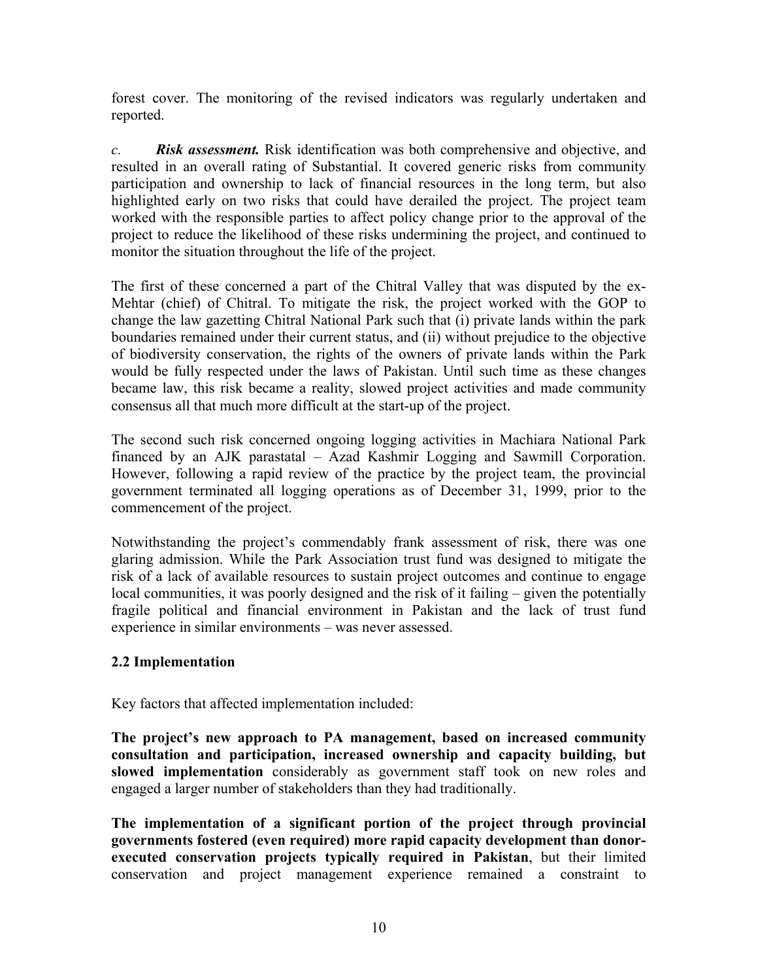forest cover. The monitoring of the revised indicators was regularly undertaken and reported.

*c. Risk assessment.* Risk identification was both comprehensive and objective, and resulted in an overall rating of Substantial. It covered generic risks from community participation and ownership to lack of financial resources in the long term, but also highlighted early on two risks that could have derailed the project. The project team worked with the responsible parties to affect policy change prior to the approval of the project to reduce the likelihood of these risks undermining the project, and continued to monitor the situation throughout the life of the project.

The first of these concerned a part of the Chitral Valley that was disputed by the ex-Mehtar (chief) of Chitral. To mitigate the risk, the project worked with the GOP to change the law gazetting Chitral National Park such that (i) private lands within the park boundaries remained under their current status, and (ii) without prejudice to the objective of biodiversity conservation, the rights of the owners of private lands within the Park would be fully respected under the laws of Pakistan. Until such time as these changes became law, this risk became a reality, slowed project activities and made community consensus all that much more difficult at the start-up of the project.

The second such risk concerned ongoing logging activities in Machiara National Park financed by an AJK parastatal – Azad Kashmir Logging and Sawmill Corporation. However, following a rapid review of the practice by the project team, the provincial government terminated all logging operations as of December 31, 1999, prior to the commencement of the project.

Notwithstanding the project's commendably frank assessment of risk, there was one glaring admission. While the Park Association trust fund was designed to mitigate the risk of a lack of available resources to sustain project outcomes and continue to engage local communities, it was poorly designed and the risk of it failing – given the potentially fragile political and financial environment in Pakistan and the lack of trust fund experience in similar environments – was never assessed.

#### **2.2 Implementation**

Key factors that affected implementation included:

**The project's new approach to PA management, based on increased community consultation and participation, increased ownership and capacity building, but slowed implementation** considerably as government staff took on new roles and engaged a larger number of stakeholders than they had traditionally.

**The implementation of a significant portion of the project through provincial governments fostered (even required) more rapid capacity development than donorexecuted conservation projects typically required in Pakistan**, but their limited conservation and project management experience remained a constraint to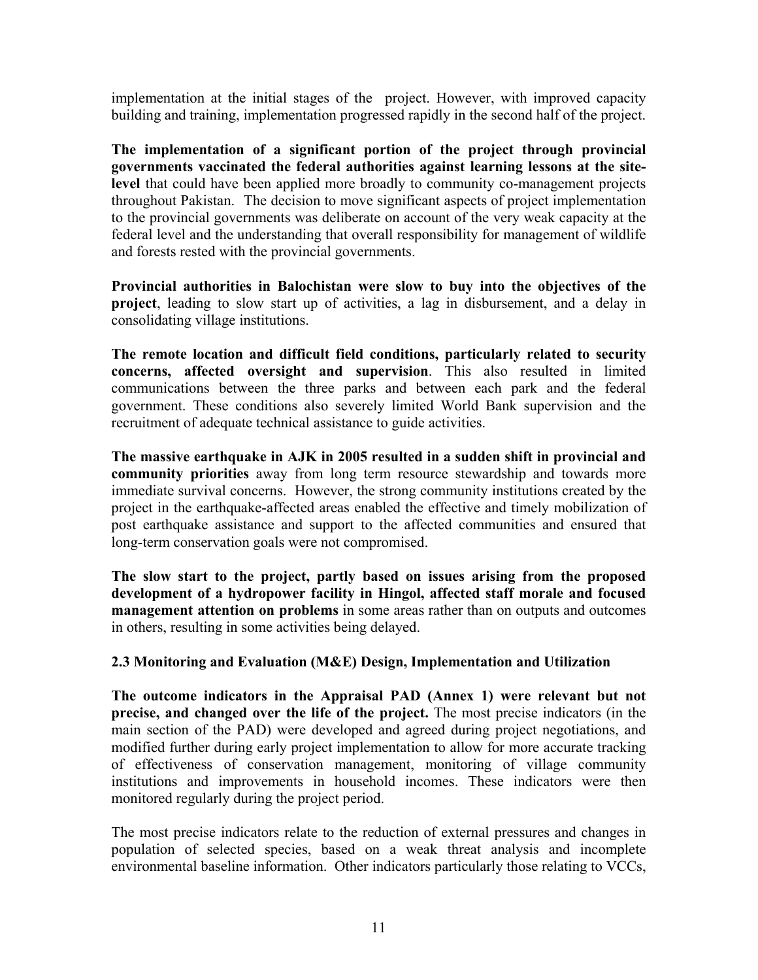implementation at the initial stages of the project. However, with improved capacity building and training, implementation progressed rapidly in the second half of the project.

**The implementation of a significant portion of the project through provincial governments vaccinated the federal authorities against learning lessons at the sitelevel** that could have been applied more broadly to community co-management projects throughout Pakistan.The decision to move significant aspects of project implementation to the provincial governments was deliberate on account of the very weak capacity at the federal level and the understanding that overall responsibility for management of wildlife and forests rested with the provincial governments.

**Provincial authorities in Balochistan were slow to buy into the objectives of the project**, leading to slow start up of activities, a lag in disbursement, and a delay in consolidating village institutions.

**The remote location and difficult field conditions, particularly related to security concerns, affected oversight and supervision**. This also resulted in limited communications between the three parks and between each park and the federal government. These conditions also severely limited World Bank supervision and the recruitment of adequate technical assistance to guide activities.

**The massive earthquake in AJK in 2005 resulted in a sudden shift in provincial and community priorities** away from long term resource stewardship and towards more immediate survival concerns. However, the strong community institutions created by the project in the earthquake-affected areas enabled the effective and timely mobilization of post earthquake assistance and support to the affected communities and ensured that long-term conservation goals were not compromised.

**The slow start to the project, partly based on issues arising from the proposed development of a hydropower facility in Hingol, affected staff morale and focused management attention on problems** in some areas rather than on outputs and outcomes in others, resulting in some activities being delayed.

#### **2.3 Monitoring and Evaluation (M&E) Design, Implementation and Utilization**

**The outcome indicators in the Appraisal PAD (Annex 1) were relevant but not precise, and changed over the life of the project.** The most precise indicators (in the main section of the PAD) were developed and agreed during project negotiations, and modified further during early project implementation to allow for more accurate tracking of effectiveness of conservation management, monitoring of village community institutions and improvements in household incomes. These indicators were then monitored regularly during the project period.

The most precise indicators relate to the reduction of external pressures and changes in population of selected species, based on a weak threat analysis and incomplete environmental baseline information. Other indicators particularly those relating to VCCs,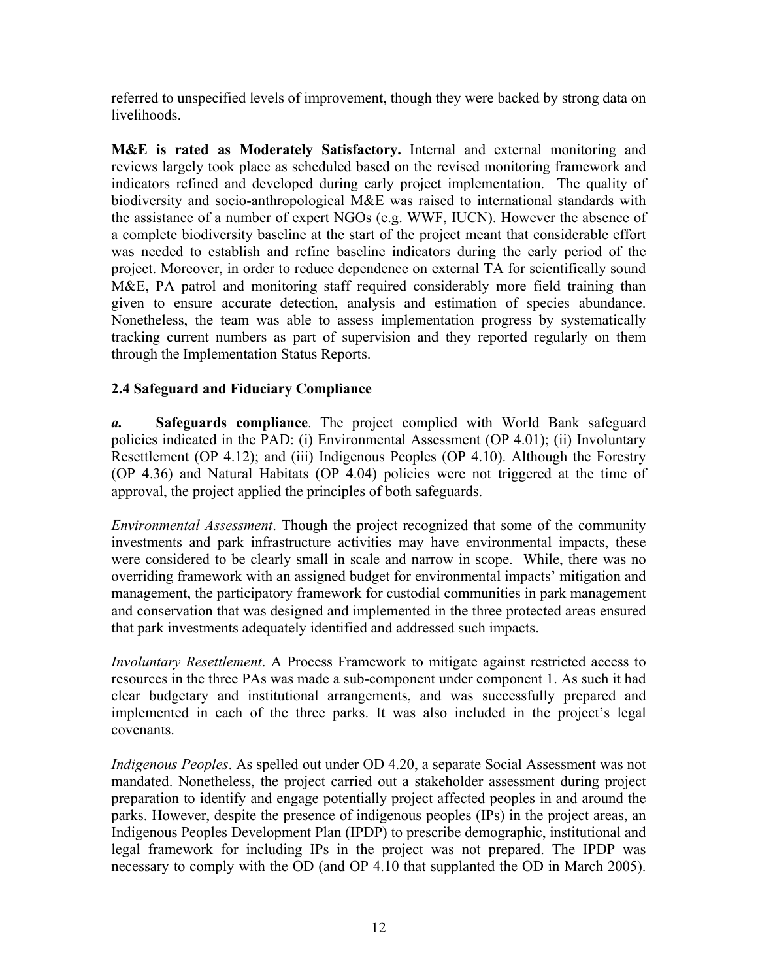referred to unspecified levels of improvement, though they were backed by strong data on livelihoods.

**M&E is rated as Moderately Satisfactory.** Internal and external monitoring and reviews largely took place as scheduled based on the revised monitoring framework and indicators refined and developed during early project implementation. The quality of biodiversity and socio-anthropological M&E was raised to international standards with the assistance of a number of expert NGOs (e.g. WWF, IUCN). However the absence of a complete biodiversity baseline at the start of the project meant that considerable effort was needed to establish and refine baseline indicators during the early period of the project. Moreover, in order to reduce dependence on external TA for scientifically sound M&E, PA patrol and monitoring staff required considerably more field training than given to ensure accurate detection, analysis and estimation of species abundance. Nonetheless, the team was able to assess implementation progress by systematically tracking current numbers as part of supervision and they reported regularly on them through the Implementation Status Reports.

#### **2.4 Safeguard and Fiduciary Compliance**

*a.* **Safeguards compliance**. The project complied with World Bank safeguard policies indicated in the PAD: (i) Environmental Assessment (OP 4.01); (ii) Involuntary Resettlement (OP 4.12); and (iii) Indigenous Peoples (OP 4.10). Although the Forestry (OP 4.36) and Natural Habitats (OP 4.04) policies were not triggered at the time of approval, the project applied the principles of both safeguards.

*Environmental Assessment*. Though the project recognized that some of the community investments and park infrastructure activities may have environmental impacts, these were considered to be clearly small in scale and narrow in scope. While, there was no overriding framework with an assigned budget for environmental impacts' mitigation and management, the participatory framework for custodial communities in park management and conservation that was designed and implemented in the three protected areas ensured that park investments adequately identified and addressed such impacts.

*Involuntary Resettlement*. A Process Framework to mitigate against restricted access to resources in the three PAs was made a sub-component under component 1. As such it had clear budgetary and institutional arrangements, and was successfully prepared and implemented in each of the three parks. It was also included in the project's legal covenants.

*Indigenous Peoples*. As spelled out under OD 4.20, a separate Social Assessment was not mandated. Nonetheless, the project carried out a stakeholder assessment during project preparation to identify and engage potentially project affected peoples in and around the parks. However, despite the presence of indigenous peoples (IPs) in the project areas, an Indigenous Peoples Development Plan (IPDP) to prescribe demographic, institutional and legal framework for including IPs in the project was not prepared. The IPDP was necessary to comply with the OD (and OP 4.10 that supplanted the OD in March 2005).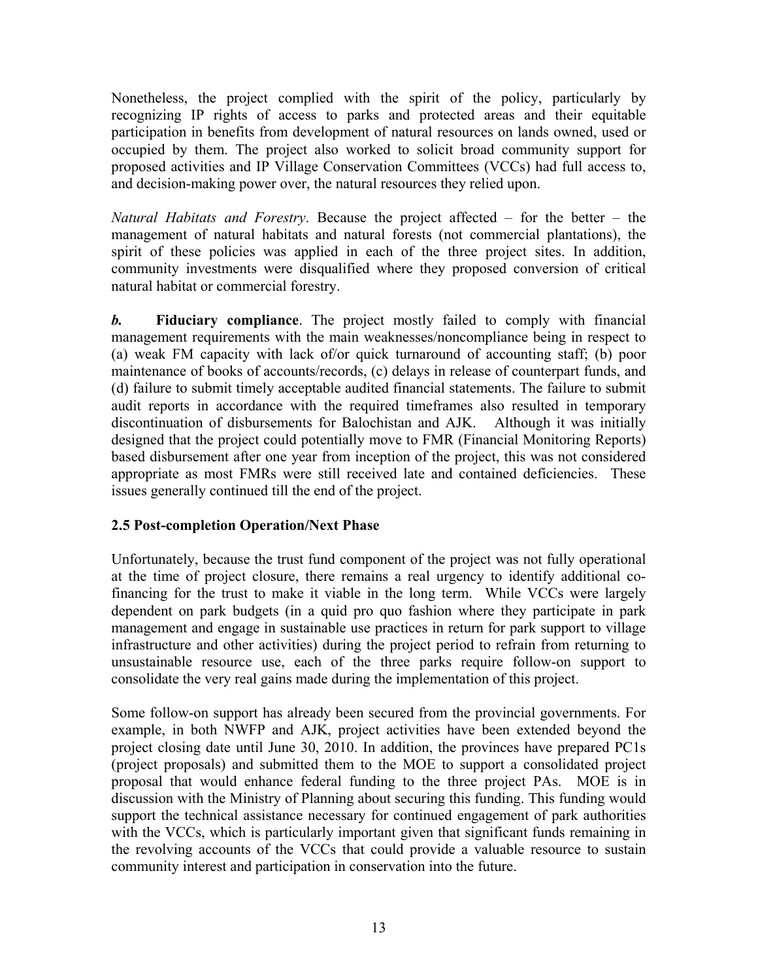Nonetheless, the project complied with the spirit of the policy, particularly by recognizing IP rights of access to parks and protected areas and their equitable participation in benefits from development of natural resources on lands owned, used or occupied by them. The project also worked to solicit broad community support for proposed activities and IP Village Conservation Committees (VCCs) had full access to, and decision-making power over, the natural resources they relied upon.

*Natural Habitats and Forestry*. Because the project affected – for the better – the management of natural habitats and natural forests (not commercial plantations), the spirit of these policies was applied in each of the three project sites. In addition, community investments were disqualified where they proposed conversion of critical natural habitat or commercial forestry.

*b.* **Fiduciary compliance**. The project mostly failed to comply with financial management requirements with the main weaknesses/noncompliance being in respect to (a) weak FM capacity with lack of/or quick turnaround of accounting staff; (b) poor maintenance of books of accounts/records, (c) delays in release of counterpart funds, and (d) failure to submit timely acceptable audited financial statements. The failure to submit audit reports in accordance with the required timeframes also resulted in temporary discontinuation of disbursements for Balochistan and AJK. Although it was initially designed that the project could potentially move to FMR (Financial Monitoring Reports) based disbursement after one year from inception of the project, this was not considered appropriate as most FMRs were still received late and contained deficiencies. These issues generally continued till the end of the project.

#### **2.5 Post-completion Operation/Next Phase**

Unfortunately, because the trust fund component of the project was not fully operational at the time of project closure, there remains a real urgency to identify additional cofinancing for the trust to make it viable in the long term. While VCCs were largely dependent on park budgets (in a quid pro quo fashion where they participate in park management and engage in sustainable use practices in return for park support to village infrastructure and other activities) during the project period to refrain from returning to unsustainable resource use, each of the three parks require follow-on support to consolidate the very real gains made during the implementation of this project.

Some follow-on support has already been secured from the provincial governments. For example, in both NWFP and AJK, project activities have been extended beyond the project closing date until June 30, 2010. In addition, the provinces have prepared PC1s (project proposals) and submitted them to the MOE to support a consolidated project proposal that would enhance federal funding to the three project PAs. MOE is in discussion with the Ministry of Planning about securing this funding. This funding would support the technical assistance necessary for continued engagement of park authorities with the VCCs, which is particularly important given that significant funds remaining in the revolving accounts of the VCCs that could provide a valuable resource to sustain community interest and participation in conservation into the future.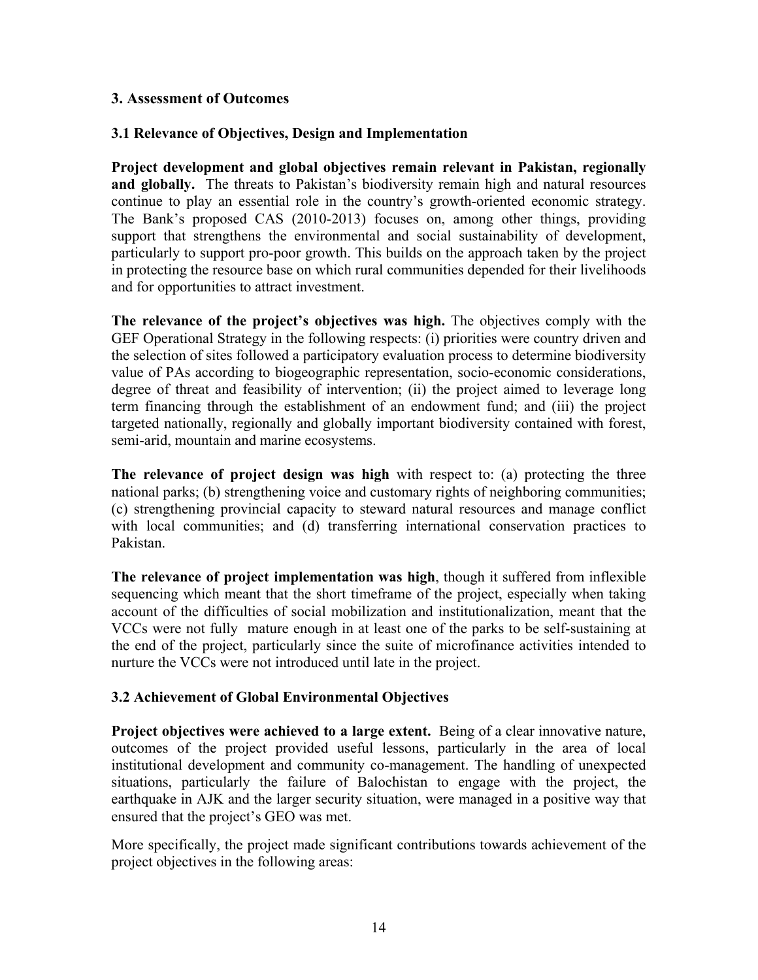#### <span id="page-23-0"></span>**3. Assessment of Outcomes**

#### **3.1 Relevance of Objectives, Design and Implementation**

**Project development and global objectives remain relevant in Pakistan, regionally and globally.** The threats to Pakistan's biodiversity remain high and natural resources continue to play an essential role in the country's growth-oriented economic strategy. The Bank's proposed CAS (2010-2013) focuses on, among other things, providing support that strengthens the environmental and social sustainability of development, particularly to support pro-poor growth. This builds on the approach taken by the project in protecting the resource base on which rural communities depended for their livelihoods and for opportunities to attract investment.

**The relevance of the project's objectives was high.** The objectives comply with the GEF Operational Strategy in the following respects: (i) priorities were country driven and the selection of sites followed a participatory evaluation process to determine biodiversity value of PAs according to biogeographic representation, socio-economic considerations, degree of threat and feasibility of intervention; (ii) the project aimed to leverage long term financing through the establishment of an endowment fund; and (iii) the project targeted nationally, regionally and globally important biodiversity contained with forest, semi-arid, mountain and marine ecosystems.

**The relevance of project design was high** with respect to: (a) protecting the three national parks; (b) strengthening voice and customary rights of neighboring communities; (c) strengthening provincial capacity to steward natural resources and manage conflict with local communities; and (d) transferring international conservation practices to Pakistan.

**The relevance of project implementation was high**, though it suffered from inflexible sequencing which meant that the short timeframe of the project, especially when taking account of the difficulties of social mobilization and institutionalization, meant that the VCCs were not fully mature enough in at least one of the parks to be self-sustaining at the end of the project, particularly since the suite of microfinance activities intended to nurture the VCCs were not introduced until late in the project.

#### **3.2 Achievement of Global Environmental Objectives**

**Project objectives were achieved to a large extent.** Being of a clear innovative nature, outcomes of the project provided useful lessons, particularly in the area of local institutional development and community co-management. The handling of unexpected situations, particularly the failure of Balochistan to engage with the project, the earthquake in AJK and the larger security situation, were managed in a positive way that ensured that the project's GEO was met.

More specifically, the project made significant contributions towards achievement of the project objectives in the following areas: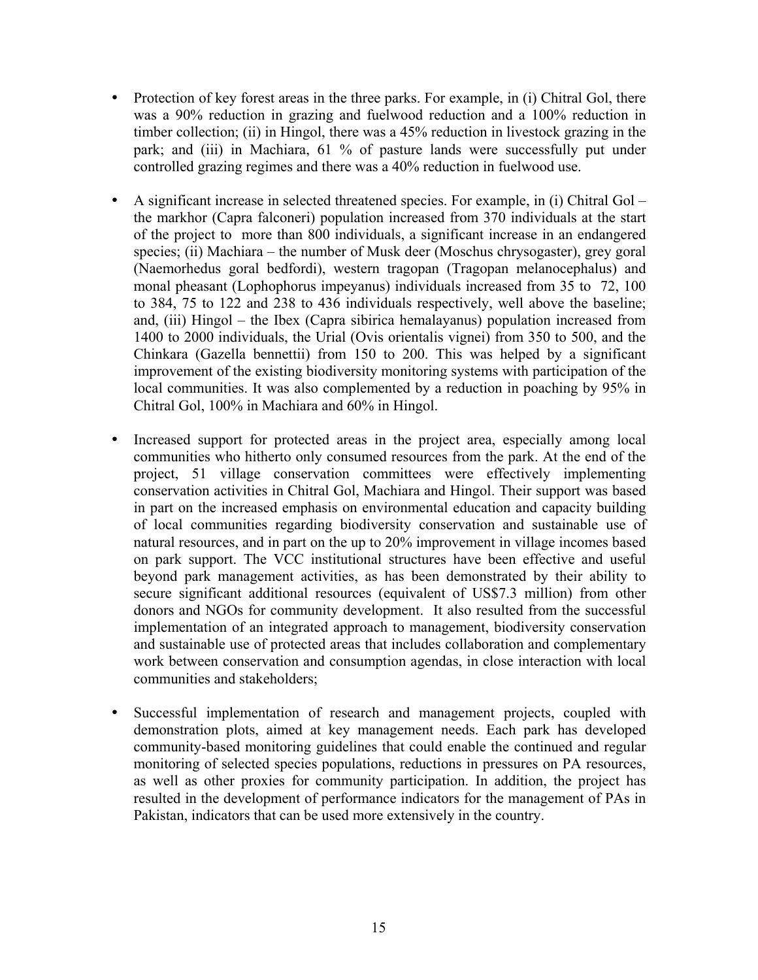- Protection of key forest areas in the three parks. For example, in (i) Chitral Gol, there was a 90% reduction in grazing and fuelwood reduction and a 100% reduction in timber collection; (ii) in Hingol, there was a 45% reduction in livestock grazing in the park; and (iii) in Machiara, 61 % of pasture lands were successfully put under controlled grazing regimes and there was a 40% reduction in fuelwood use.
- A significant increase in selected threatened species. For example, in (i) Chitral Gol the markhor (Capra falconeri) population increased from 370 individuals at the start of the project to more than 800 individuals, a significant increase in an endangered species; (ii) Machiara – the number of Musk deer (Moschus chrysogaster), grey goral (Naemorhedus goral bedfordi), western tragopan (Tragopan melanocephalus) and monal pheasant (Lophophorus impeyanus) individuals increased from 35 to 72, 100 to 384, 75 to 122 and 238 to 436 individuals respectively, well above the baseline; and, (iii) Hingol – the Ibex (Capra sibirica hemalayanus) population increased from 1400 to 2000 individuals, the Urial (Ovis orientalis vignei) from 350 to 500, and the Chinkara (Gazella bennettii) from 150 to 200. This was helped by a significant improvement of the existing biodiversity monitoring systems with participation of the local communities. It was also complemented by a reduction in poaching by 95% in Chitral Gol, 100% in Machiara and 60% in Hingol.
- Increased support for protected areas in the project area, especially among local communities who hitherto only consumed resources from the park. At the end of the project, 51 village conservation committees were effectively implementing conservation activities in Chitral Gol, Machiara and Hingol. Their support was based in part on the increased emphasis on environmental education and capacity building of local communities regarding biodiversity conservation and sustainable use of natural resources, and in part on the up to 20% improvement in village incomes based on park support. The VCC institutional structures have been effective and useful beyond park management activities, as has been demonstrated by their ability to secure significant additional resources (equivalent of US\$7.3 million) from other donors and NGOs for community development. It also resulted from the successful implementation of an integrated approach to management, biodiversity conservation and sustainable use of protected areas that includes collaboration and complementary work between conservation and consumption agendas, in close interaction with local communities and stakeholders;
- Successful implementation of research and management projects, coupled with demonstration plots, aimed at key management needs. Each park has developed community-based monitoring guidelines that could enable the continued and regular monitoring of selected species populations, reductions in pressures on PA resources, as well as other proxies for community participation. In addition, the project has resulted in the development of performance indicators for the management of PAs in Pakistan, indicators that can be used more extensively in the country.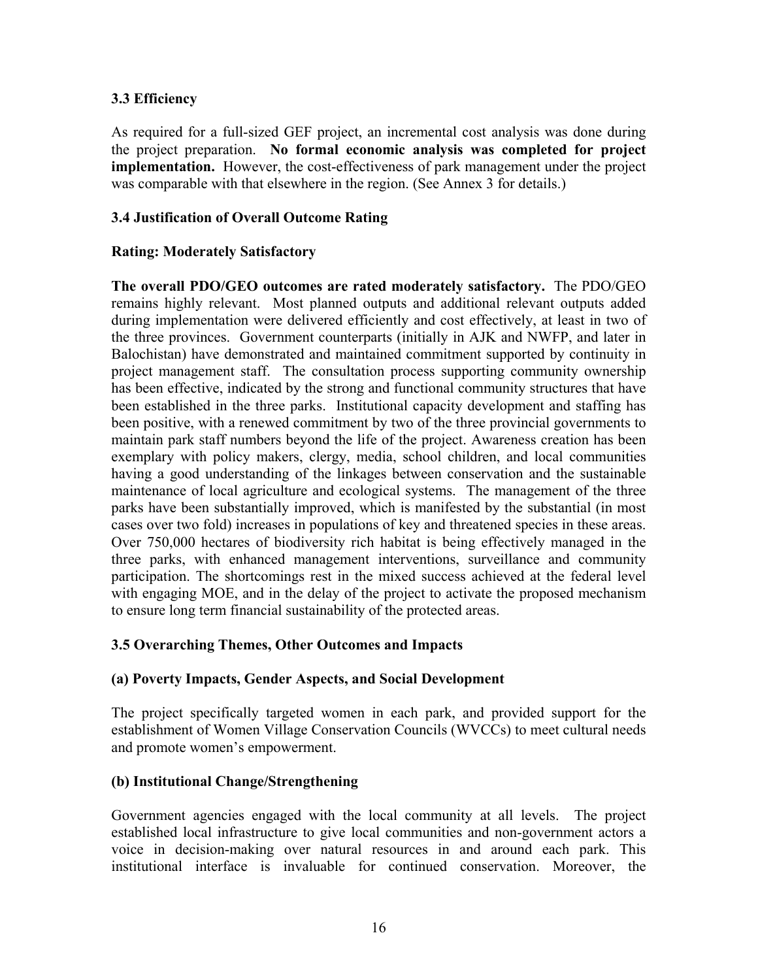#### **3.3 Efficiency**

As required for a full-sized GEF project, an incremental cost analysis was done during the project preparation. **No formal economic analysis was completed for project implementation.** However, the cost-effectiveness of park management under the project was comparable with that elsewhere in the region. (See Annex 3 for details.)

#### **3.4 Justification of Overall Outcome Rating**

#### **Rating: Moderately Satisfactory**

**The overall PDO/GEO outcomes are rated moderately satisfactory.** The PDO/GEO remains highly relevant. Most planned outputs and additional relevant outputs added during implementation were delivered efficiently and cost effectively, at least in two of the three provinces. Government counterparts (initially in AJK and NWFP, and later in Balochistan) have demonstrated and maintained commitment supported by continuity in project management staff. The consultation process supporting community ownership has been effective, indicated by the strong and functional community structures that have been established in the three parks. Institutional capacity development and staffing has been positive, with a renewed commitment by two of the three provincial governments to maintain park staff numbers beyond the life of the project. Awareness creation has been exemplary with policy makers, clergy, media, school children, and local communities having a good understanding of the linkages between conservation and the sustainable maintenance of local agriculture and ecological systems. The management of the three parks have been substantially improved, which is manifested by the substantial (in most cases over two fold) increases in populations of key and threatened species in these areas. Over 750,000 hectares of biodiversity rich habitat is being effectively managed in the three parks, with enhanced management interventions, surveillance and community participation. The shortcomings rest in the mixed success achieved at the federal level with engaging MOE, and in the delay of the project to activate the proposed mechanism to ensure long term financial sustainability of the protected areas.

#### **3.5 Overarching Themes, Other Outcomes and Impacts**

#### **(a) Poverty Impacts, Gender Aspects, and Social Development**

The project specifically targeted women in each park, and provided support for the establishment of Women Village Conservation Councils (WVCCs) to meet cultural needs and promote women's empowerment.

#### **(b) Institutional Change/Strengthening**

Government agencies engaged with the local community at all levels. The project established local infrastructure to give local communities and non-government actors a voice in decision-making over natural resources in and around each park. This institutional interface is invaluable for continued conservation. Moreover, the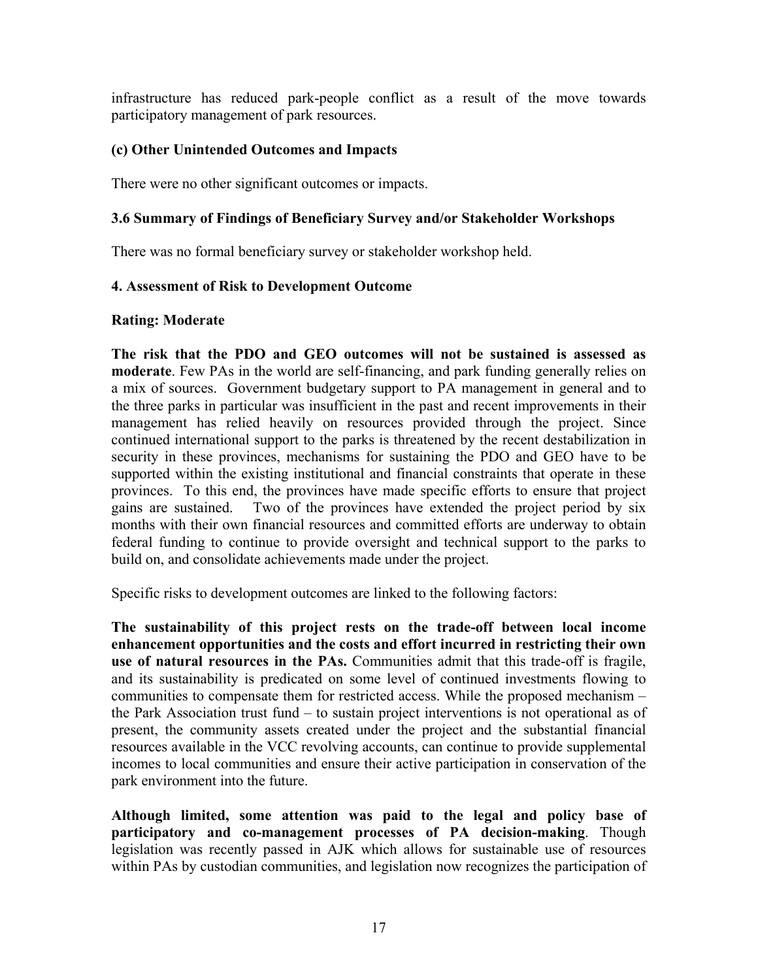infrastructure has reduced park-people conflict as a result of the move towards participatory management of park resources.

#### **(c) Other Unintended Outcomes and Impacts**

There were no other significant outcomes or impacts.

#### **3.6 Summary of Findings of Beneficiary Survey and/or Stakeholder Workshops**

There was no formal beneficiary survey or stakeholder workshop held.

#### <span id="page-26-0"></span>**4. Assessment of Risk to Development Outcome**

#### **Rating: Moderate**

**The risk that the PDO and GEO outcomes will not be sustained is assessed as moderate**. Few PAs in the world are self-financing, and park funding generally relies on a mix of sources. Government budgetary support to PA management in general and to the three parks in particular was insufficient in the past and recent improvements in their management has relied heavily on resources provided through the project. Since continued international support to the parks is threatened by the recent destabilization in security in these provinces, mechanisms for sustaining the PDO and GEO have to be supported within the existing institutional and financial constraints that operate in these provinces. To this end, the provinces have made specific efforts to ensure that project gains are sustained. Two of the provinces have extended the project period by six months with their own financial resources and committed efforts are underway to obtain federal funding to continue to provide oversight and technical support to the parks to build on, and consolidate achievements made under the project.

Specific risks to development outcomes are linked to the following factors:

**The sustainability of this project rests on the trade-off between local income enhancement opportunities and the costs and effort incurred in restricting their own use of natural resources in the PAs.** Communities admit that this trade-off is fragile, and its sustainability is predicated on some level of continued investments flowing to communities to compensate them for restricted access. While the proposed mechanism – the Park Association trust fund – to sustain project interventions is not operational as of present, the community assets created under the project and the substantial financial resources available in the VCC revolving accounts, can continue to provide supplemental incomes to local communities and ensure their active participation in conservation of the park environment into the future.

**Although limited, some attention was paid to the legal and policy base of participatory and co-management processes of PA decision-making**. Though legislation was recently passed in AJK which allows for sustainable use of resources within PAs by custodian communities, and legislation now recognizes the participation of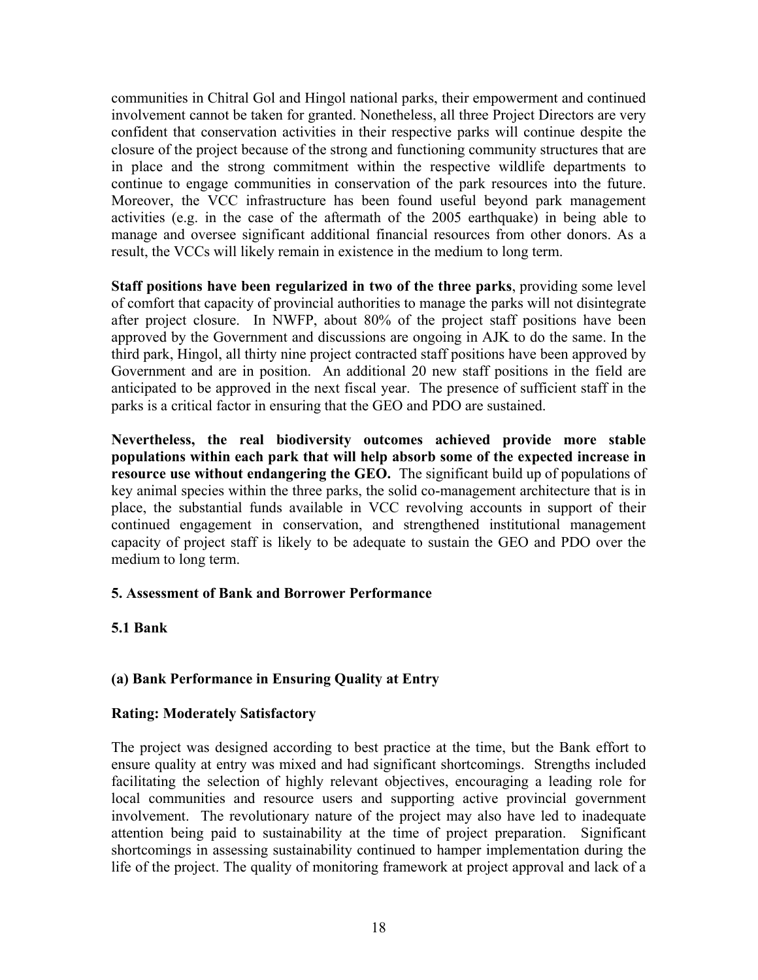communities in Chitral Gol and Hingol national parks, their empowerment and continued involvement cannot be taken for granted. Nonetheless, all three Project Directors are very confident that conservation activities in their respective parks will continue despite the closure of the project because of the strong and functioning community structures that are in place and the strong commitment within the respective wildlife departments to continue to engage communities in conservation of the park resources into the future. Moreover, the VCC infrastructure has been found useful beyond park management activities (e.g. in the case of the aftermath of the 2005 earthquake) in being able to manage and oversee significant additional financial resources from other donors. As a result, the VCCs will likely remain in existence in the medium to long term.

**Staff positions have been regularized in two of the three parks**, providing some level of comfort that capacity of provincial authorities to manage the parks will not disintegrate after project closure. In NWFP, about 80% of the project staff positions have been approved by the Government and discussions are ongoing in AJK to do the same. In the third park, Hingol, all thirty nine project contracted staff positions have been approved by Government and are in position. An additional 20 new staff positions in the field are anticipated to be approved in the next fiscal year. The presence of sufficient staff in the parks is a critical factor in ensuring that the GEO and PDO are sustained.

**Nevertheless, the real biodiversity outcomes achieved provide more stable populations within each park that will help absorb some of the expected increase in resource use without endangering the GEO.** The significant build up of populations of key animal species within the three parks, the solid co-management architecture that is in place, the substantial funds available in VCC revolving accounts in support of their continued engagement in conservation, and strengthened institutional management capacity of project staff is likely to be adequate to sustain the GEO and PDO over the medium to long term.

#### <span id="page-27-0"></span>**5. Assessment of Bank and Borrower Performance**

#### **5.1 Bank**

#### **(a) Bank Performance in Ensuring Quality at Entry**

#### **Rating: Moderately Satisfactory**

The project was designed according to best practice at the time, but the Bank effort to ensure quality at entry was mixed and had significant shortcomings. Strengths included facilitating the selection of highly relevant objectives, encouraging a leading role for local communities and resource users and supporting active provincial government involvement. The revolutionary nature of the project may also have led to inadequate attention being paid to sustainability at the time of project preparation. Significant shortcomings in assessing sustainability continued to hamper implementation during the life of the project. The quality of monitoring framework at project approval and lack of a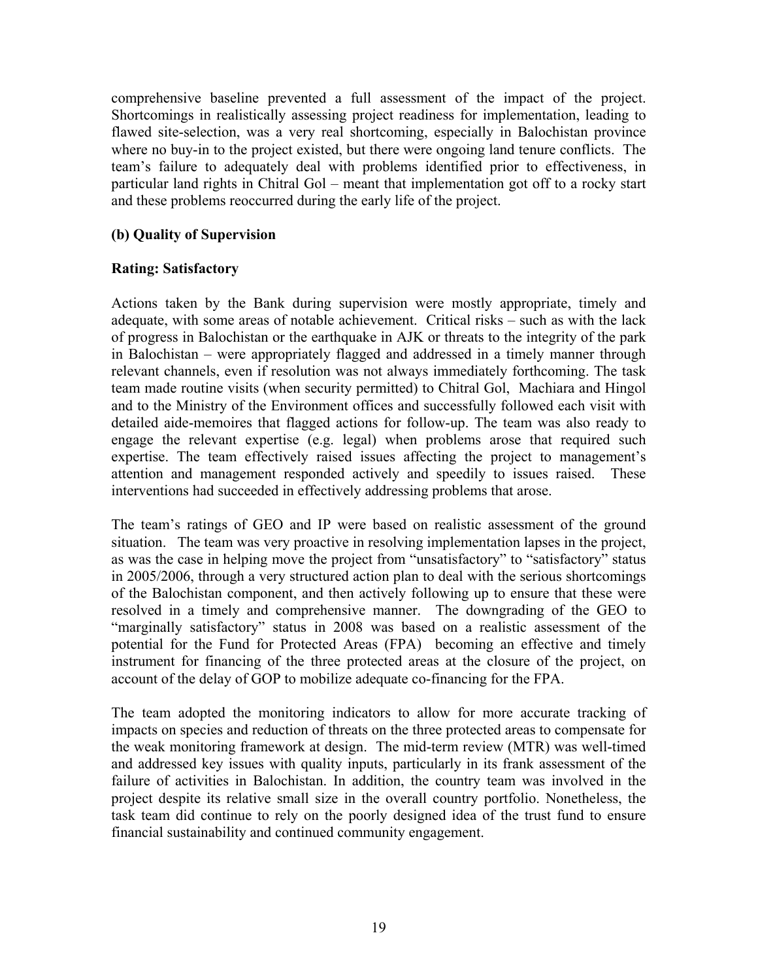comprehensive baseline prevented a full assessment of the impact of the project. Shortcomings in realistically assessing project readiness for implementation, leading to flawed site-selection, was a very real shortcoming, especially in Balochistan province where no buy-in to the project existed, but there were ongoing land tenure conflicts. The team's failure to adequately deal with problems identified prior to effectiveness, in particular land rights in Chitral Gol – meant that implementation got off to a rocky start and these problems reoccurred during the early life of the project.

#### **(b) Quality of Supervision**

#### **Rating: Satisfactory**

Actions taken by the Bank during supervision were mostly appropriate, timely and adequate, with some areas of notable achievement. Critical risks – such as with the lack of progress in Balochistan or the earthquake in AJK or threats to the integrity of the park in Balochistan – were appropriately flagged and addressed in a timely manner through relevant channels, even if resolution was not always immediately forthcoming. The task team made routine visits (when security permitted) to Chitral Gol, Machiara and Hingol and to the Ministry of the Environment offices and successfully followed each visit with detailed aide-memoires that flagged actions for follow-up. The team was also ready to engage the relevant expertise (e.g. legal) when problems arose that required such expertise. The team effectively raised issues affecting the project to management's attention and management responded actively and speedily to issues raised. These interventions had succeeded in effectively addressing problems that arose.

The team's ratings of GEO and IP were based on realistic assessment of the ground situation. The team was very proactive in resolving implementation lapses in the project, as was the case in helping move the project from "unsatisfactory" to "satisfactory" status in 2005/2006, through a very structured action plan to deal with the serious shortcomings of the Balochistan component, and then actively following up to ensure that these were resolved in a timely and comprehensive manner. The downgrading of the GEO to "marginally satisfactory" status in 2008 was based on a realistic assessment of the potential for the Fund for Protected Areas (FPA) becoming an effective and timely instrument for financing of the three protected areas at the closure of the project, on account of the delay of GOP to mobilize adequate co-financing for the FPA.

The team adopted the monitoring indicators to allow for more accurate tracking of impacts on species and reduction of threats on the three protected areas to compensate for the weak monitoring framework at design. The mid-term review (MTR) was well-timed and addressed key issues with quality inputs, particularly in its frank assessment of the failure of activities in Balochistan. In addition, the country team was involved in the project despite its relative small size in the overall country portfolio. Nonetheless, the task team did continue to rely on the poorly designed idea of the trust fund to ensure financial sustainability and continued community engagement.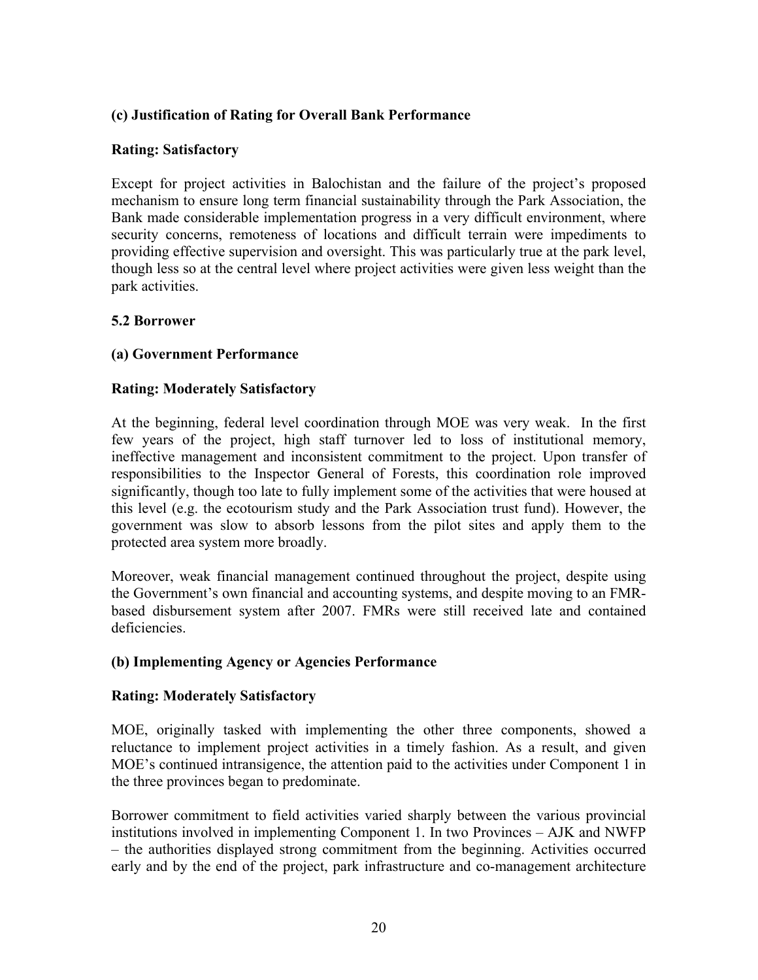#### **(c) Justification of Rating for Overall Bank Performance**

#### **Rating: Satisfactory**

Except for project activities in Balochistan and the failure of the project's proposed mechanism to ensure long term financial sustainability through the Park Association, the Bank made considerable implementation progress in a very difficult environment, where security concerns, remoteness of locations and difficult terrain were impediments to providing effective supervision and oversight. This was particularly true at the park level, though less so at the central level where project activities were given less weight than the park activities.

#### **5.2 Borrower**

#### **(a) Government Performance**

#### **Rating: Moderately Satisfactory**

At the beginning, federal level coordination through MOE was very weak. In the first few years of the project, high staff turnover led to loss of institutional memory, ineffective management and inconsistent commitment to the project. Upon transfer of responsibilities to the Inspector General of Forests, this coordination role improved significantly, though too late to fully implement some of the activities that were housed at this level (e.g. the ecotourism study and the Park Association trust fund). However, the government was slow to absorb lessons from the pilot sites and apply them to the protected area system more broadly.

Moreover, weak financial management continued throughout the project, despite using the Government's own financial and accounting systems, and despite moving to an FMRbased disbursement system after 2007. FMRs were still received late and contained deficiencies.

#### **(b) Implementing Agency or Agencies Performance**

#### **Rating: Moderately Satisfactory**

MOE, originally tasked with implementing the other three components, showed a reluctance to implement project activities in a timely fashion. As a result, and given MOE's continued intransigence, the attention paid to the activities under Component 1 in the three provinces began to predominate.

Borrower commitment to field activities varied sharply between the various provincial institutions involved in implementing Component 1. In two Provinces – AJK and NWFP – the authorities displayed strong commitment from the beginning. Activities occurred early and by the end of the project, park infrastructure and co-management architecture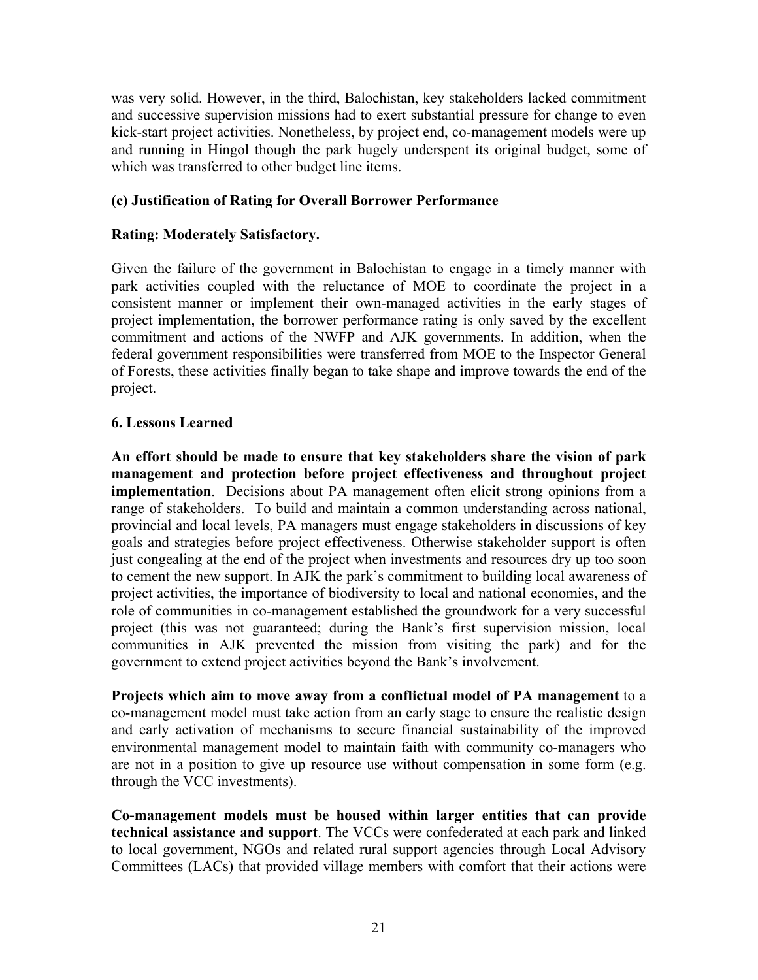was very solid. However, in the third, Balochistan, key stakeholders lacked commitment and successive supervision missions had to exert substantial pressure for change to even kick-start project activities. Nonetheless, by project end, co-management models were up and running in Hingol though the park hugely underspent its original budget, some of which was transferred to other budget line items.

#### **(c) Justification of Rating for Overall Borrower Performance**

#### **Rating: Moderately Satisfactory.**

Given the failure of the government in Balochistan to engage in a timely manner with park activities coupled with the reluctance of MOE to coordinate the project in a consistent manner or implement their own-managed activities in the early stages of project implementation, the borrower performance rating is only saved by the excellent commitment and actions of the NWFP and AJK governments. In addition, when the federal government responsibilities were transferred from MOE to the Inspector General of Forests, these activities finally began to take shape and improve towards the end of the project.

#### <span id="page-30-0"></span>**6. Lessons Learned**

**An effort should be made to ensure that key stakeholders share the vision of park management and protection before project effectiveness and throughout project implementation**. Decisions about PA management often elicit strong opinions from a range of stakeholders. To build and maintain a common understanding across national, provincial and local levels, PA managers must engage stakeholders in discussions of key goals and strategies before project effectiveness. Otherwise stakeholder support is often just congealing at the end of the project when investments and resources dry up too soon to cement the new support. In AJK the park's commitment to building local awareness of project activities, the importance of biodiversity to local and national economies, and the role of communities in co-management established the groundwork for a very successful project (this was not guaranteed; during the Bank's first supervision mission, local communities in AJK prevented the mission from visiting the park) and for the government to extend project activities beyond the Bank's involvement.

**Projects which aim to move away from a conflictual model of PA management** to a co-management model must take action from an early stage to ensure the realistic design and early activation of mechanisms to secure financial sustainability of the improved environmental management model to maintain faith with community co-managers who are not in a position to give up resource use without compensation in some form (e.g. through the VCC investments).

**Co-management models must be housed within larger entities that can provide technical assistance and support**. The VCCs were confederated at each park and linked to local government, NGOs and related rural support agencies through Local Advisory Committees (LACs) that provided village members with comfort that their actions were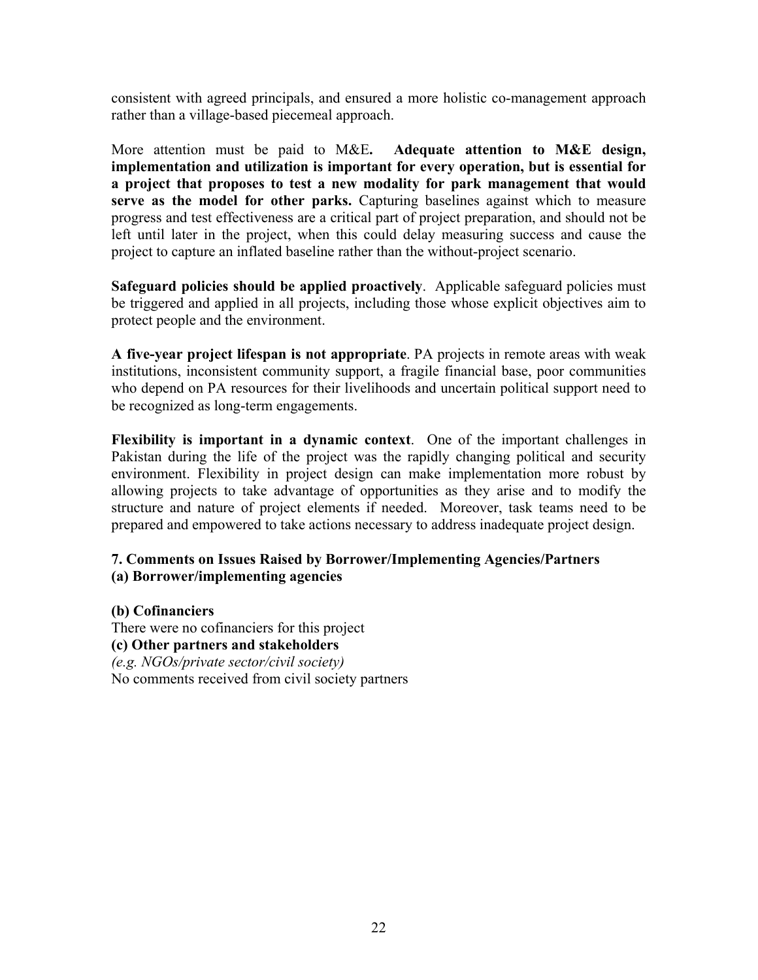consistent with agreed principals, and ensured a more holistic co-management approach rather than a village-based piecemeal approach.

More attention must be paid to M&E**. Adequate attention to M&E design, implementation and utilization is important for every operation, but is essential for a project that proposes to test a new modality for park management that would serve as the model for other parks.** Capturing baselines against which to measure progress and test effectiveness are a critical part of project preparation, and should not be left until later in the project, when this could delay measuring success and cause the project to capture an inflated baseline rather than the without-project scenario.

**Safeguard policies should be applied proactively**. Applicable safeguard policies must be triggered and applied in all projects, including those whose explicit objectives aim to protect people and the environment.

**A five-year project lifespan is not appropriate**. PA projects in remote areas with weak institutions, inconsistent community support, a fragile financial base, poor communities who depend on PA resources for their livelihoods and uncertain political support need to be recognized as long-term engagements.

**Flexibility is important in a dynamic context**. One of the important challenges in Pakistan during the life of the project was the rapidly changing political and security environment. Flexibility in project design can make implementation more robust by allowing projects to take advantage of opportunities as they arise and to modify the structure and nature of project elements if needed. Moreover, task teams need to be prepared and empowered to take actions necessary to address inadequate project design.

#### <span id="page-31-0"></span>**7. Comments on Issues Raised by Borrower/Implementing Agencies/Partners (a) Borrower/implementing agencies**

#### **(b) Cofinanciers** There were no cofinanciers for this project **(c) Other partners and stakeholders** *(e.g. NGOs/private sector/civil society)* No comments received from civil society partners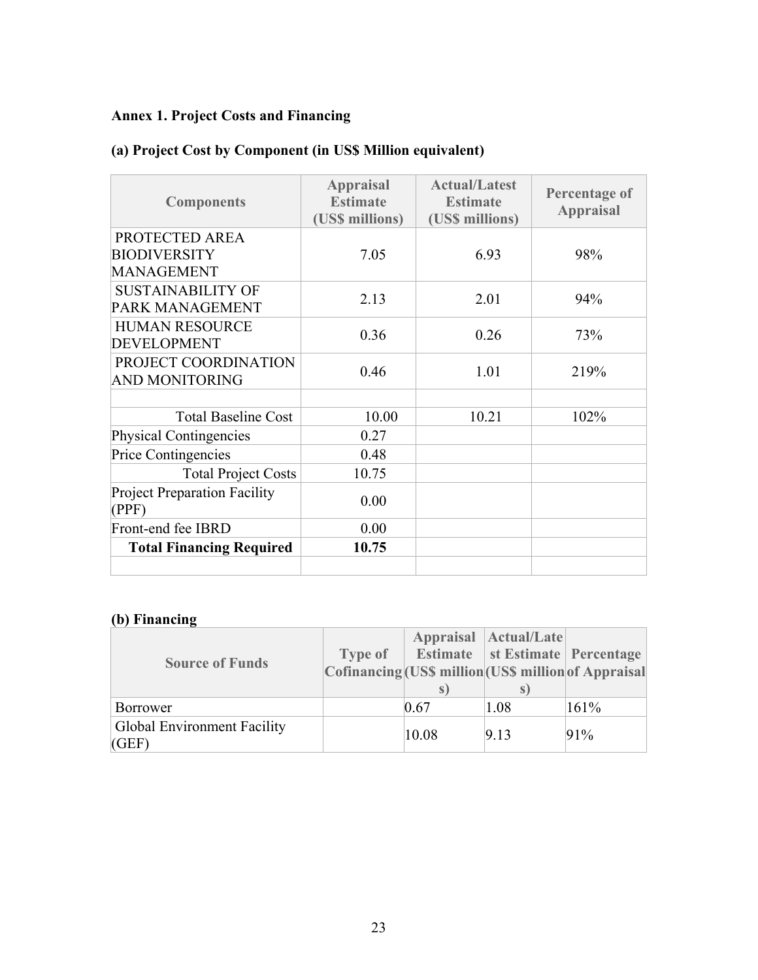# <span id="page-32-0"></span>**Annex 1. Project Costs and Financing**

# **(a) Project Cost by Component (in US\$ Million equivalent)**

| <b>Components</b>                                          | <b>Appraisal</b><br><b>Estimate</b><br>(US\$ millions) | <b>Actual/Latest</b><br><b>Estimate</b><br>(US\$ millions) | <b>Percentage of</b><br><b>Appraisal</b> |
|------------------------------------------------------------|--------------------------------------------------------|------------------------------------------------------------|------------------------------------------|
| PROTECTED AREA<br><b>BIODIVERSITY</b><br><b>MANAGEMENT</b> | 7.05                                                   | 6.93                                                       | 98%                                      |
| <b>SUSTAINABILITY OF</b><br>PARK MANAGEMENT                | 2.13                                                   | 2.01                                                       | 94%                                      |
| <b>HUMAN RESOURCE</b><br><b>DEVELOPMENT</b>                | 0.36                                                   | 0.26                                                       | 73%                                      |
| PROJECT COORDINATION<br><b>AND MONITORING</b>              | 0.46                                                   | 1.01                                                       | 219%                                     |
| <b>Total Baseline Cost</b>                                 | 10.00                                                  | 10.21                                                      | 102%                                     |
| Physical Contingencies                                     | 0.27                                                   |                                                            |                                          |
| Price Contingencies                                        | 0.48                                                   |                                                            |                                          |
| <b>Total Project Costs</b>                                 | 10.75                                                  |                                                            |                                          |
| <b>Project Preparation Facility</b><br>(PPF)               | 0.00                                                   |                                                            |                                          |
| Front-end fee IBRD                                         | 0.00                                                   |                                                            |                                          |
| <b>Total Financing Required</b>                            | 10.75                                                  |                                                            |                                          |
|                                                            |                                                        |                                                            |                                          |

# **(b) Financing**

| <b>Source of Funds</b>               | <b>Type of</b> | S.    | Appraisal Actual/Late<br>Estimate   st Estimate   Percentage<br>Cofinancing (US\$ million US\$ million of Appraisal<br>S |      |
|--------------------------------------|----------------|-------|--------------------------------------------------------------------------------------------------------------------------|------|
| Borrower                             |                | 0.67  | 1.08                                                                                                                     | 161% |
| Global Environment Facility<br>(GEF) |                | 10.08 | 9.13                                                                                                                     | 91%  |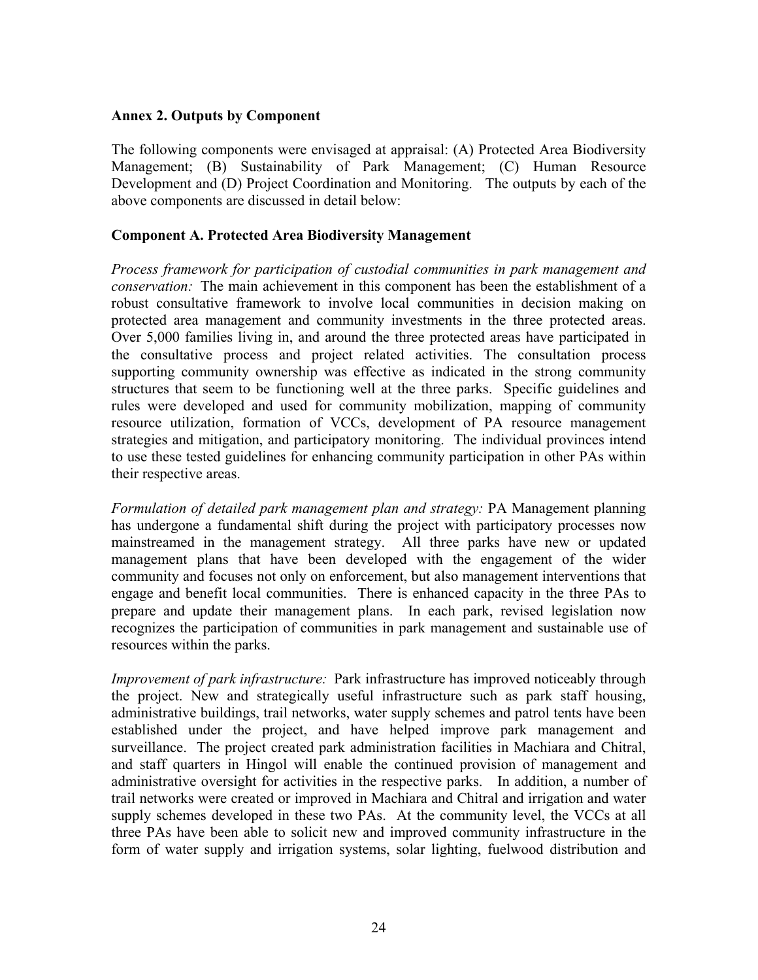#### <span id="page-33-0"></span>**Annex 2. Outputs by Component**

The following components were envisaged at appraisal: (A) Protected Area Biodiversity Management; (B) Sustainability of Park Management; (C) Human Resource Development and (D) Project Coordination and Monitoring. The outputs by each of the above components are discussed in detail below:

#### **Component A. Protected Area Biodiversity Management**

*Process framework for participation of custodial communities in park management and conservation:* The main achievement in this component has been the establishment of a robust consultative framework to involve local communities in decision making on protected area management and community investments in the three protected areas. Over 5,000 families living in, and around the three protected areas have participated in the consultative process and project related activities. The consultation process supporting community ownership was effective as indicated in the strong community structures that seem to be functioning well at the three parks. Specific guidelines and rules were developed and used for community mobilization, mapping of community resource utilization, formation of VCCs, development of PA resource management strategies and mitigation, and participatory monitoring. The individual provinces intend to use these tested guidelines for enhancing community participation in other PAs within their respective areas.

*Formulation of detailed park management plan and strategy:* PA Management planning has undergone a fundamental shift during the project with participatory processes now mainstreamed in the management strategy. All three parks have new or updated management plans that have been developed with the engagement of the wider community and focuses not only on enforcement, but also management interventions that engage and benefit local communities. There is enhanced capacity in the three PAs to prepare and update their management plans. In each park, revised legislation now recognizes the participation of communities in park management and sustainable use of resources within the parks.

*Improvement of park infrastructure:* Park infrastructure has improved noticeably through the project. New and strategically useful infrastructure such as park staff housing, administrative buildings, trail networks, water supply schemes and patrol tents have been established under the project, and have helped improve park management and surveillance. The project created park administration facilities in Machiara and Chitral, and staff quarters in Hingol will enable the continued provision of management and administrative oversight for activities in the respective parks. In addition, a number of trail networks were created or improved in Machiara and Chitral and irrigation and water supply schemes developed in these two PAs. At the community level, the VCCs at all three PAs have been able to solicit new and improved community infrastructure in the form of water supply and irrigation systems, solar lighting, fuelwood distribution and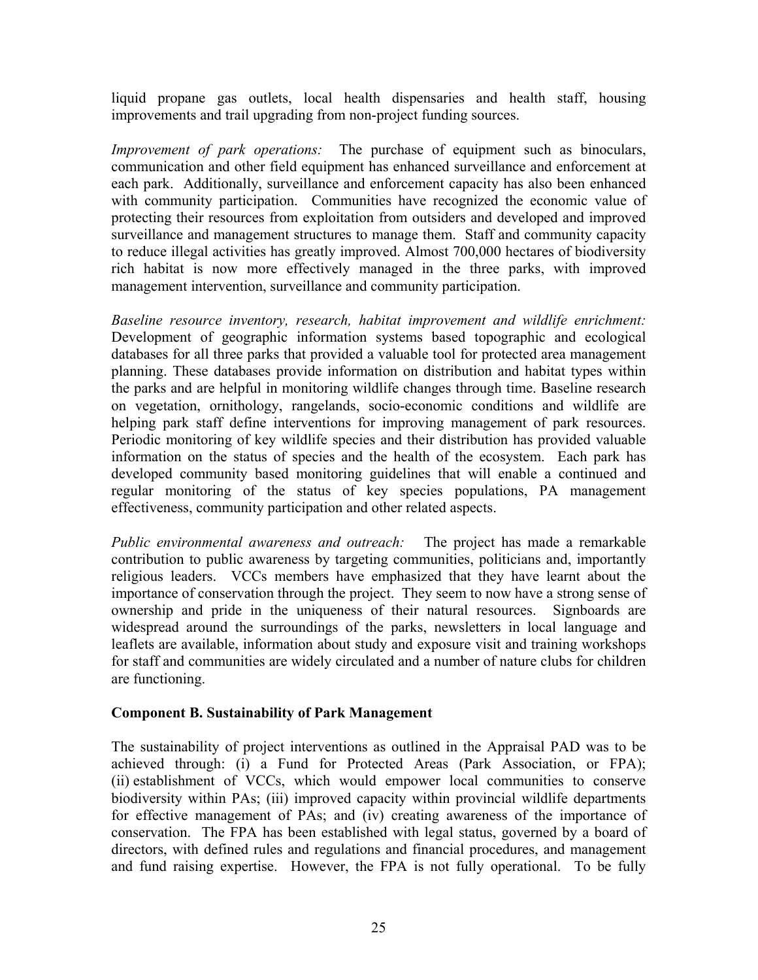liquid propane gas outlets, local health dispensaries and health staff, housing improvements and trail upgrading from non-project funding sources.

*Improvement of park operations:* The purchase of equipment such as binoculars, communication and other field equipment has enhanced surveillance and enforcement at each park. Additionally, surveillance and enforcement capacity has also been enhanced with community participation. Communities have recognized the economic value of protecting their resources from exploitation from outsiders and developed and improved surveillance and management structures to manage them. Staff and community capacity to reduce illegal activities has greatly improved. Almost 700,000 hectares of biodiversity rich habitat is now more effectively managed in the three parks, with improved management intervention, surveillance and community participation.

*Baseline resource inventory, research, habitat improvement and wildlife enrichment:*  Development of geographic information systems based topographic and ecological databases for all three parks that provided a valuable tool for protected area management planning. These databases provide information on distribution and habitat types within the parks and are helpful in monitoring wildlife changes through time. Baseline research on vegetation, ornithology, rangelands, socio-economic conditions and wildlife are helping park staff define interventions for improving management of park resources. Periodic monitoring of key wildlife species and their distribution has provided valuable information on the status of species and the health of the ecosystem. Each park has developed community based monitoring guidelines that will enable a continued and regular monitoring of the status of key species populations, PA management effectiveness, community participation and other related aspects.

*Public environmental awareness and outreach:* The project has made a remarkable contribution to public awareness by targeting communities, politicians and, importantly religious leaders. VCCs members have emphasized that they have learnt about the importance of conservation through the project. They seem to now have a strong sense of ownership and pride in the uniqueness of their natural resources. Signboards are widespread around the surroundings of the parks, newsletters in local language and leaflets are available, information about study and exposure visit and training workshops for staff and communities are widely circulated and a number of nature clubs for children are functioning.

#### **Component B. Sustainability of Park Management**

The sustainability of project interventions as outlined in the Appraisal PAD was to be achieved through: (i) a Fund for Protected Areas (Park Association, or FPA); (ii) establishment of VCCs, which would empower local communities to conserve biodiversity within PAs; (iii) improved capacity within provincial wildlife departments for effective management of PAs; and (iv) creating awareness of the importance of conservation. The FPA has been established with legal status, governed by a board of directors, with defined rules and regulations and financial procedures, and management and fund raising expertise. However, the FPA is not fully operational. To be fully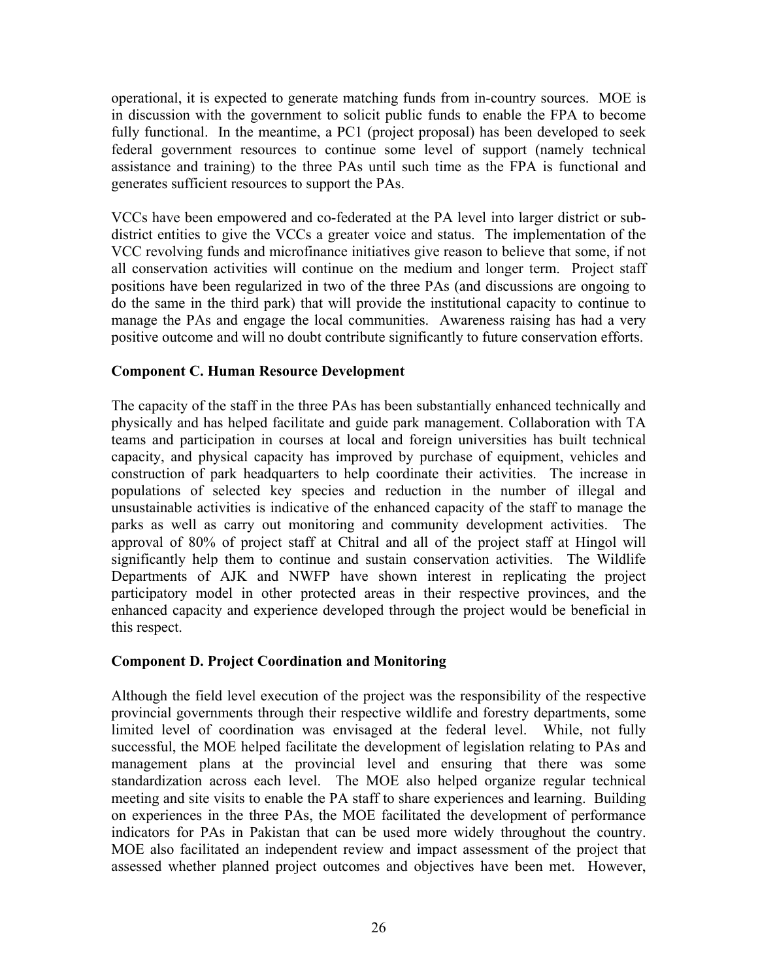operational, it is expected to generate matching funds from in-country sources. MOE is in discussion with the government to solicit public funds to enable the FPA to become fully functional. In the meantime, a PC1 (project proposal) has been developed to seek federal government resources to continue some level of support (namely technical assistance and training) to the three PAs until such time as the FPA is functional and generates sufficient resources to support the PAs.

VCCs have been empowered and co-federated at the PA level into larger district or subdistrict entities to give the VCCs a greater voice and status. The implementation of the VCC revolving funds and microfinance initiatives give reason to believe that some, if not all conservation activities will continue on the medium and longer term. Project staff positions have been regularized in two of the three PAs (and discussions are ongoing to do the same in the third park) that will provide the institutional capacity to continue to manage the PAs and engage the local communities. Awareness raising has had a very positive outcome and will no doubt contribute significantly to future conservation efforts.

#### **Component C. Human Resource Development**

The capacity of the staff in the three PAs has been substantially enhanced technically and physically and has helped facilitate and guide park management. Collaboration with TA teams and participation in courses at local and foreign universities has built technical capacity, and physical capacity has improved by purchase of equipment, vehicles and construction of park headquarters to help coordinate their activities. The increase in populations of selected key species and reduction in the number of illegal and unsustainable activities is indicative of the enhanced capacity of the staff to manage the parks as well as carry out monitoring and community development activities. The approval of 80% of project staff at Chitral and all of the project staff at Hingol will significantly help them to continue and sustain conservation activities. The Wildlife Departments of AJK and NWFP have shown interest in replicating the project participatory model in other protected areas in their respective provinces, and the enhanced capacity and experience developed through the project would be beneficial in this respect.

#### **Component D. Project Coordination and Monitoring**

Although the field level execution of the project was the responsibility of the respective provincial governments through their respective wildlife and forestry departments, some limited level of coordination was envisaged at the federal level. While, not fully successful, the MOE helped facilitate the development of legislation relating to PAs and management plans at the provincial level and ensuring that there was some standardization across each level. The MOE also helped organize regular technical meeting and site visits to enable the PA staff to share experiences and learning. Building on experiences in the three PAs, the MOE facilitated the development of performance indicators for PAs in Pakistan that can be used more widely throughout the country. MOE also facilitated an independent review and impact assessment of the project that assessed whether planned project outcomes and objectives have been met. However,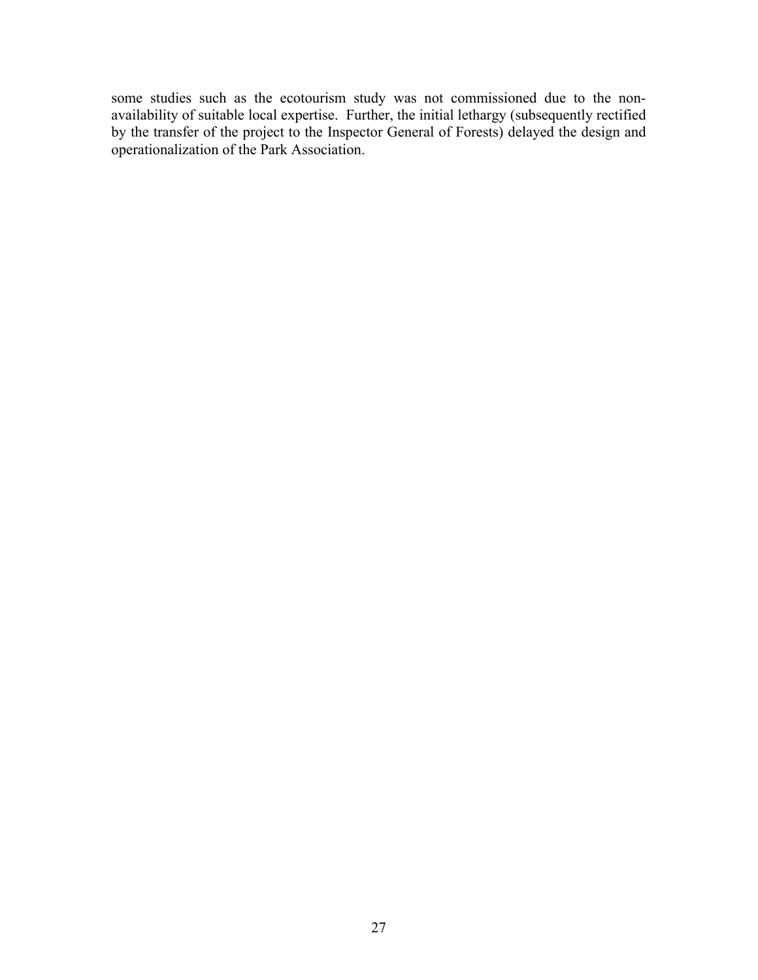some studies such as the ecotourism study was not commissioned due to the nonavailability of suitable local expertise. Further, the initial lethargy (subsequently rectified by the transfer of the project to the Inspector General of Forests) delayed the design and operationalization of the Park Association.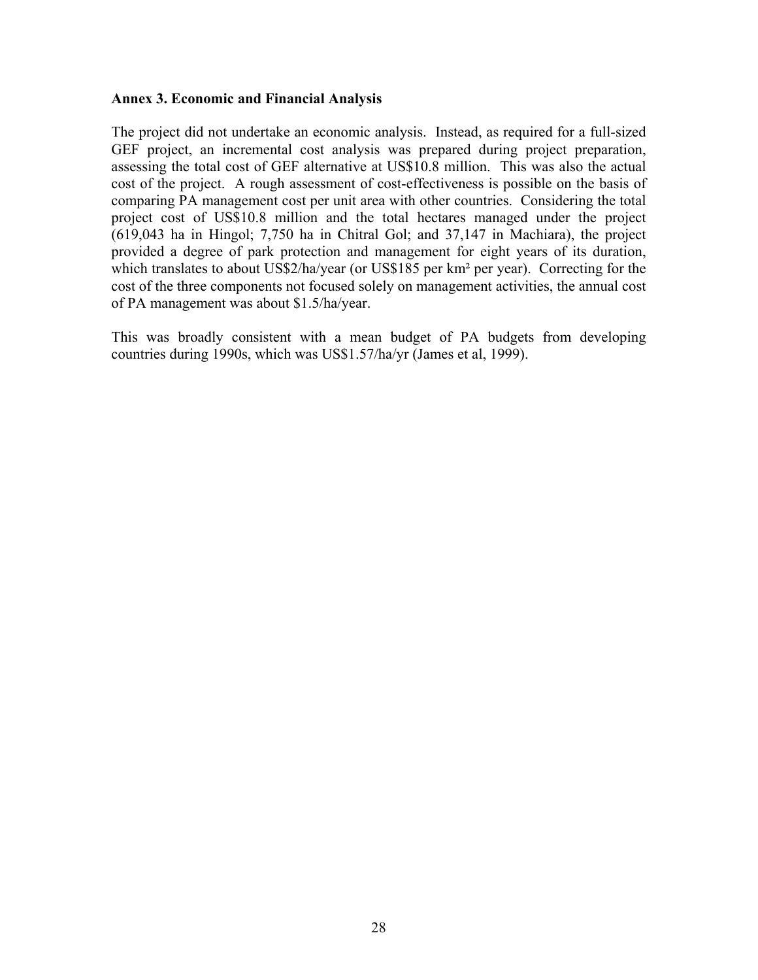#### <span id="page-37-0"></span>**Annex 3. Economic and Financial Analysis**

The project did not undertake an economic analysis. Instead, as required for a full-sized GEF project, an incremental cost analysis was prepared during project preparation, assessing the total cost of GEF alternative at US\$10.8 million. This was also the actual cost of the project. A rough assessment of cost-effectiveness is possible on the basis of comparing PA management cost per unit area with other countries. Considering the total project cost of US\$10.8 million and the total hectares managed under the project (619,043 ha in Hingol; 7,750 ha in Chitral Gol; and 37,147 in Machiara), the project provided a degree of park protection and management for eight years of its duration, which translates to about US\$2/ha/year (or US\$185 per km<sup>2</sup> per year). Correcting for the cost of the three components not focused solely on management activities, the annual cost of PA management was about \$1.5/ha/year.

This was broadly consistent with a mean budget of PA budgets from developing countries during 1990s, which was US\$1.57/ha/yr (James et al, 1999).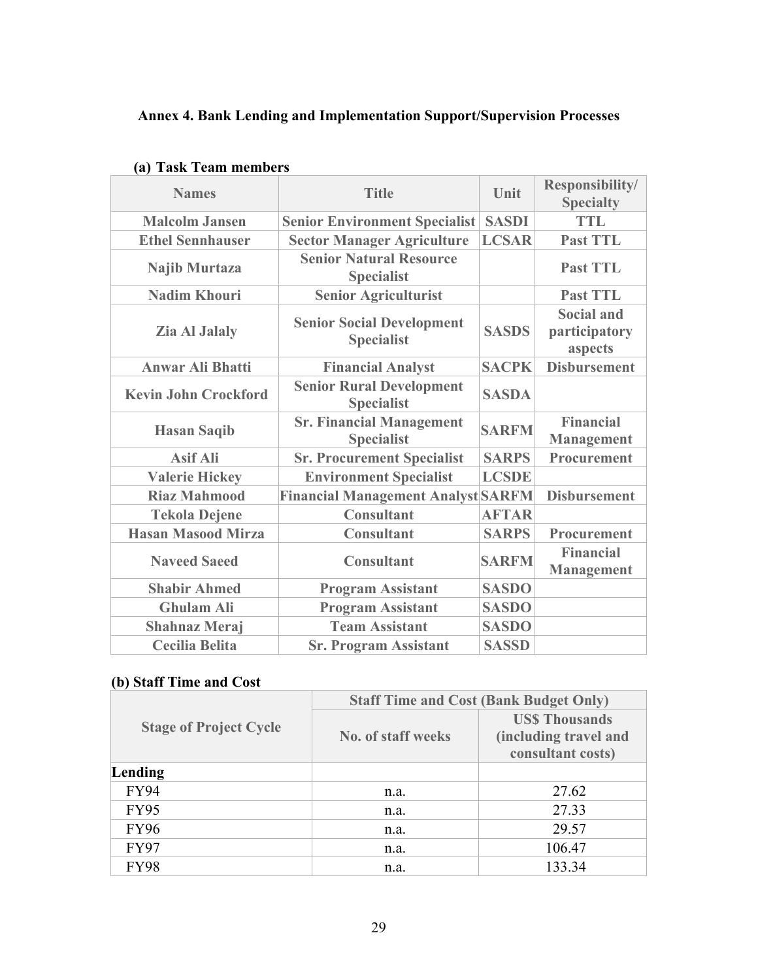# <span id="page-38-0"></span>**Annex 4. Bank Lending and Implementation Support/Supervision Processes**

| <b>Names</b>                | <b>Title</b>                                          | Unit         | <b>Responsibility/</b><br><b>Specialty</b>    |
|-----------------------------|-------------------------------------------------------|--------------|-----------------------------------------------|
| <b>Malcolm Jansen</b>       | <b>Senior Environment Specialist</b>                  | <b>SASDI</b> | <b>TTL</b>                                    |
| <b>Ethel Sennhauser</b>     | <b>Sector Manager Agriculture</b>                     | <b>LCSAR</b> | <b>Past TTL</b>                               |
| Najib Murtaza               | <b>Senior Natural Resource</b><br><b>Specialist</b>   |              | <b>Past TTL</b>                               |
| <b>Nadim Khouri</b>         | <b>Senior Agriculturist</b>                           |              | <b>Past TTL</b>                               |
| <b>Zia Al Jalaly</b>        | <b>Senior Social Development</b><br><b>Specialist</b> | <b>SASDS</b> | <b>Social and</b><br>participatory<br>aspects |
| <b>Anwar Ali Bhatti</b>     | <b>Financial Analyst</b>                              | <b>SACPK</b> | <b>Disbursement</b>                           |
| <b>Kevin John Crockford</b> | <b>Senior Rural Development</b><br><b>Specialist</b>  | <b>SASDA</b> |                                               |
| <b>Hasan Saqib</b>          | <b>Sr. Financial Management</b><br><b>Specialist</b>  | <b>SARFM</b> | <b>Financial</b><br><b>Management</b>         |
| <b>Asif Ali</b>             | <b>Sr. Procurement Specialist</b>                     | <b>SARPS</b> | Procurement                                   |
| <b>Valerie Hickey</b>       | <b>Environment Specialist</b>                         | <b>LCSDE</b> |                                               |
| <b>Riaz Mahmood</b>         | <b>Financial Management Analyst SARFM</b>             |              | <b>Disbursement</b>                           |
| <b>Tekola Dejene</b>        | <b>Consultant</b>                                     | <b>AFTAR</b> |                                               |
| <b>Hasan Masood Mirza</b>   | <b>Consultant</b>                                     | <b>SARPS</b> | Procurement                                   |
| <b>Naveed Saeed</b>         | <b>Consultant</b>                                     | <b>SARFM</b> | <b>Financial</b><br><b>Management</b>         |
| <b>Shabir Ahmed</b>         | <b>Program Assistant</b>                              | <b>SASDO</b> |                                               |
| <b>Ghulam Ali</b>           | <b>Program Assistant</b>                              | <b>SASDO</b> |                                               |
| <b>Shahnaz Meraj</b>        | <b>Team Assistant</b>                                 | <b>SASDO</b> |                                               |
| <b>Cecilia Belita</b>       | <b>Sr. Program Assistant</b>                          | <b>SASSD</b> |                                               |

# **(a) Task Team members**

# **(b) Staff Time and Cost**

|                               | <b>Staff Time and Cost (Bank Budget Only)</b> |                                                                    |  |  |
|-------------------------------|-----------------------------------------------|--------------------------------------------------------------------|--|--|
| <b>Stage of Project Cycle</b> | <b>No. of staff weeks</b>                     | <b>USS Thousands</b><br>(including travel and<br>consultant costs) |  |  |
| Lending                       |                                               |                                                                    |  |  |
| <b>FY94</b>                   | n.a.                                          | 27.62                                                              |  |  |
| <b>FY95</b>                   | n.a.                                          | 27.33                                                              |  |  |
| <b>FY96</b>                   | n.a.                                          | 29.57                                                              |  |  |
| <b>FY97</b>                   | n.a.                                          | 106.47                                                             |  |  |
| <b>FY98</b>                   | n.a.                                          | 133.34                                                             |  |  |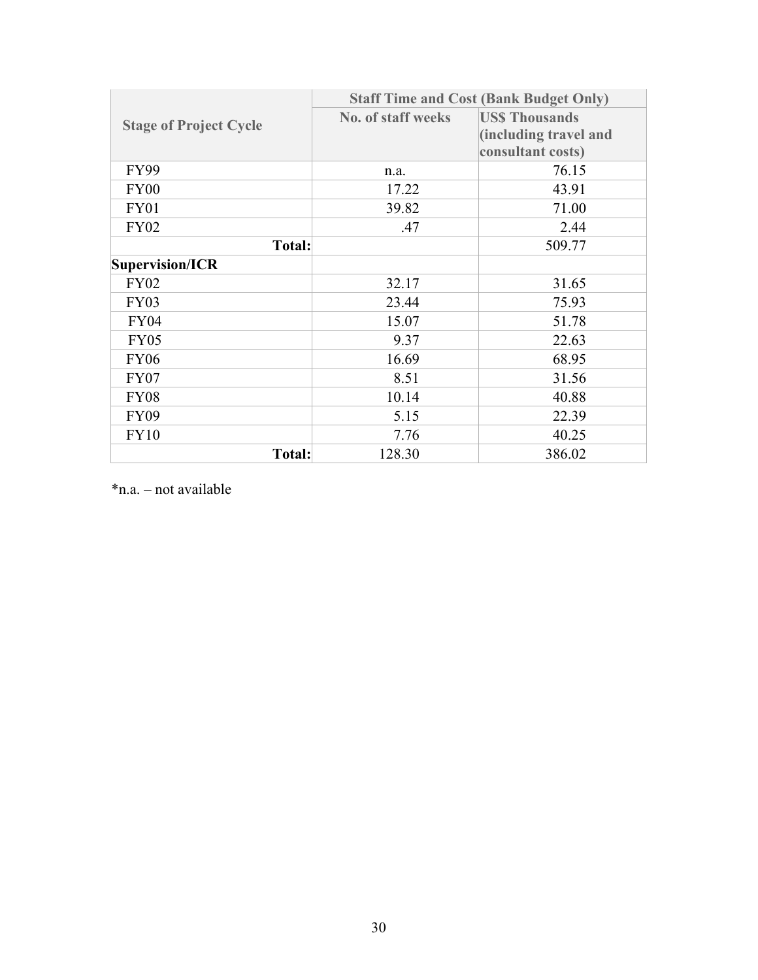|                               | <b>Staff Time and Cost (Bank Budget Only)</b> |                       |  |
|-------------------------------|-----------------------------------------------|-----------------------|--|
| <b>Stage of Project Cycle</b> | <b>No. of staff weeks</b>                     | <b>USS Thousands</b>  |  |
|                               |                                               | (including travel and |  |
|                               |                                               | consultant costs)     |  |
| <b>FY99</b>                   | n.a.                                          | 76.15                 |  |
| FY00                          | 17.22                                         | 43.91                 |  |
| <b>FY01</b>                   | 39.82                                         | 71.00                 |  |
| <b>FY02</b>                   | .47                                           | 2.44                  |  |
| <b>Total:</b>                 |                                               | 509.77                |  |
| Supervision/ICR               |                                               |                       |  |
| <b>FY02</b>                   | 32.17                                         | 31.65                 |  |
| <b>FY03</b>                   | 23.44                                         | 75.93                 |  |
| <b>FY04</b>                   | 15.07                                         | 51.78                 |  |
| <b>FY05</b>                   | 9.37                                          | 22.63                 |  |
| <b>FY06</b>                   | 16.69                                         | 68.95                 |  |
| <b>FY07</b>                   | 8.51                                          | 31.56                 |  |
| <b>FY08</b>                   | 10.14                                         | 40.88                 |  |
| <b>FY09</b>                   | 5.15                                          | 22.39                 |  |
| <b>FY10</b>                   | 7.76                                          | 40.25                 |  |
| <b>Total:</b>                 | 128.30                                        | 386.02                |  |

\*n.a. – not available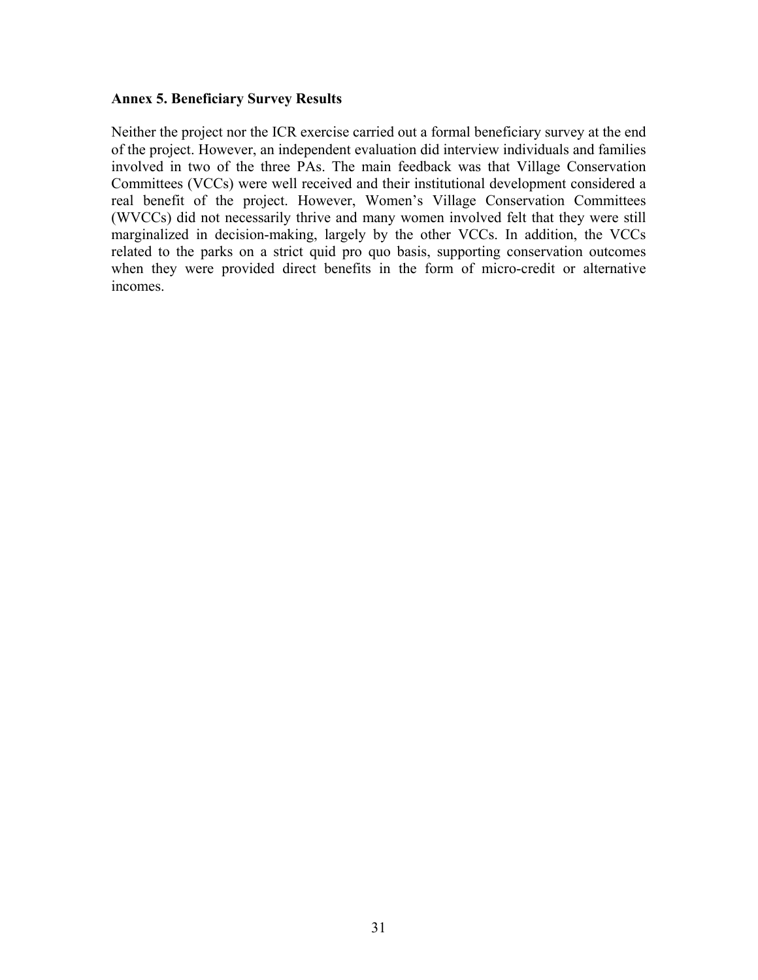#### <span id="page-40-0"></span>**Annex 5. Beneficiary Survey Results**

Neither the project nor the ICR exercise carried out a formal beneficiary survey at the end of the project. However, an independent evaluation did interview individuals and families involved in two of the three PAs. The main feedback was that Village Conservation Committees (VCCs) were well received and their institutional development considered a real benefit of the project. However, Women's Village Conservation Committees (WVCCs) did not necessarily thrive and many women involved felt that they were still marginalized in decision-making, largely by the other VCCs. In addition, the VCCs related to the parks on a strict quid pro quo basis, supporting conservation outcomes when they were provided direct benefits in the form of micro-credit or alternative incomes.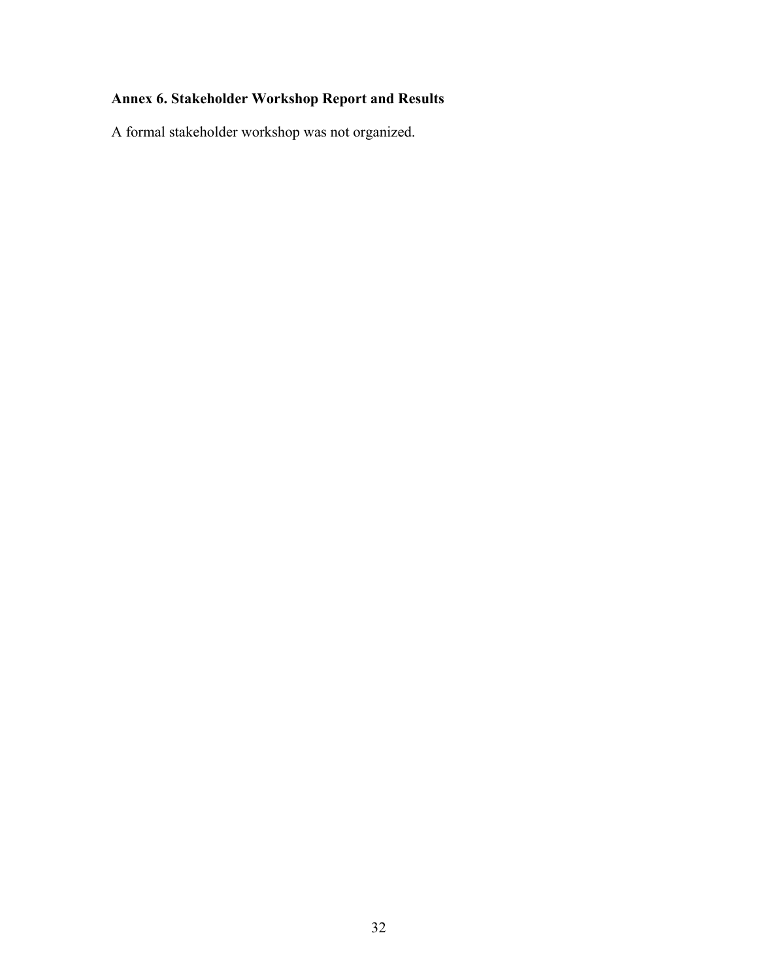# <span id="page-41-0"></span>**Annex 6. Stakeholder Workshop Report and Results**

A formal stakeholder workshop was not organized.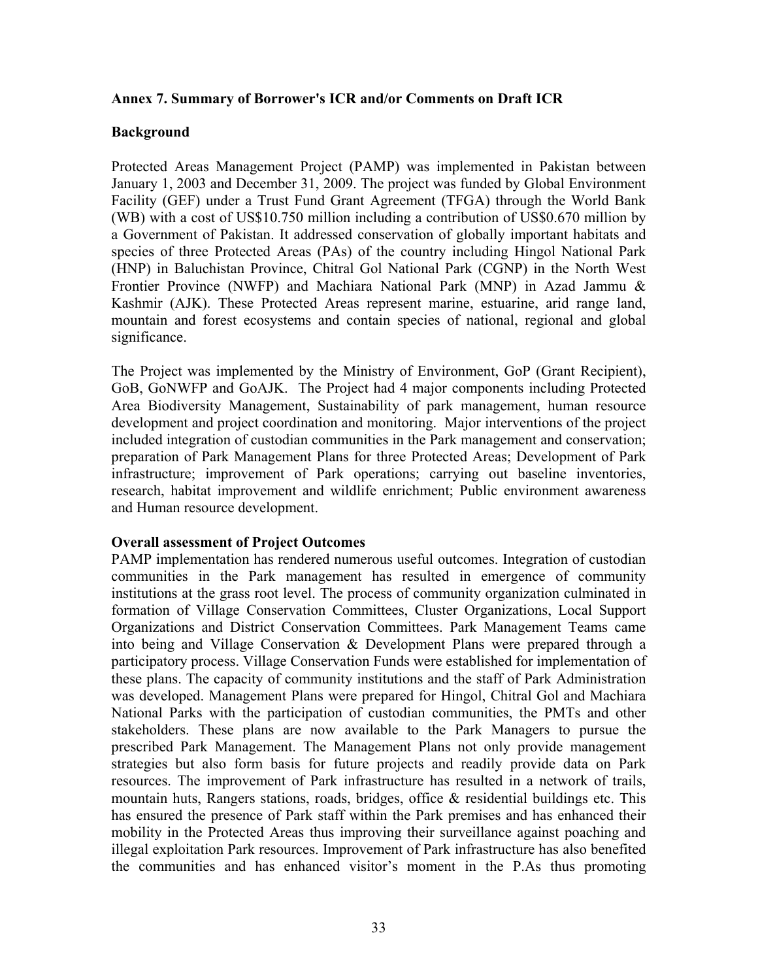#### <span id="page-42-0"></span>**Annex 7. Summary of Borrower's ICR and/or Comments on Draft ICR**

#### **Background**

Protected Areas Management Project (PAMP) was implemented in Pakistan between January 1, 2003 and December 31, 2009. The project was funded by Global Environment Facility (GEF) under a Trust Fund Grant Agreement (TFGA) through the World Bank (WB) with a cost of US\$10.750 million including a contribution of US\$0.670 million by a Government of Pakistan. It addressed conservation of globally important habitats and species of three Protected Areas (PAs) of the country including Hingol National Park (HNP) in Baluchistan Province, Chitral Gol National Park (CGNP) in the North West Frontier Province (NWFP) and Machiara National Park (MNP) in Azad Jammu & Kashmir (AJK). These Protected Areas represent marine, estuarine, arid range land, mountain and forest ecosystems and contain species of national, regional and global significance.

The Project was implemented by the Ministry of Environment, GoP (Grant Recipient), GoB, GoNWFP and GoAJK. The Project had 4 major components including Protected Area Biodiversity Management, Sustainability of park management, human resource development and project coordination and monitoring. Major interventions of the project included integration of custodian communities in the Park management and conservation; preparation of Park Management Plans for three Protected Areas; Development of Park infrastructure; improvement of Park operations; carrying out baseline inventories, research, habitat improvement and wildlife enrichment; Public environment awareness and Human resource development.

#### **Overall assessment of Project Outcomes**

PAMP implementation has rendered numerous useful outcomes. Integration of custodian communities in the Park management has resulted in emergence of community institutions at the grass root level. The process of community organization culminated in formation of Village Conservation Committees, Cluster Organizations, Local Support Organizations and District Conservation Committees. Park Management Teams came into being and Village Conservation & Development Plans were prepared through a participatory process. Village Conservation Funds were established for implementation of these plans. The capacity of community institutions and the staff of Park Administration was developed. Management Plans were prepared for Hingol, Chitral Gol and Machiara National Parks with the participation of custodian communities, the PMTs and other stakeholders. These plans are now available to the Park Managers to pursue the prescribed Park Management. The Management Plans not only provide management strategies but also form basis for future projects and readily provide data on Park resources. The improvement of Park infrastructure has resulted in a network of trails, mountain huts, Rangers stations, roads, bridges, office & residential buildings etc. This has ensured the presence of Park staff within the Park premises and has enhanced their mobility in the Protected Areas thus improving their surveillance against poaching and illegal exploitation Park resources. Improvement of Park infrastructure has also benefited the communities and has enhanced visitor's moment in the P.As thus promoting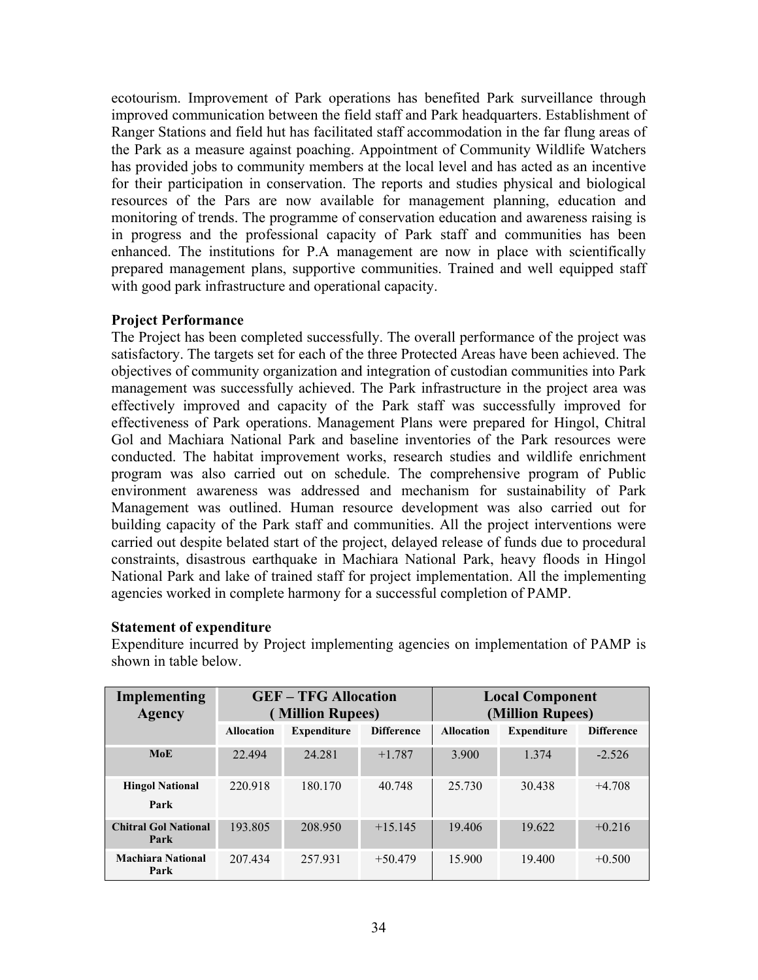ecotourism. Improvement of Park operations has benefited Park surveillance through improved communication between the field staff and Park headquarters. Establishment of Ranger Stations and field hut has facilitated staff accommodation in the far flung areas of the Park as a measure against poaching. Appointment of Community Wildlife Watchers has provided jobs to community members at the local level and has acted as an incentive for their participation in conservation. The reports and studies physical and biological resources of the Pars are now available for management planning, education and monitoring of trends. The programme of conservation education and awareness raising is in progress and the professional capacity of Park staff and communities has been enhanced. The institutions for P.A management are now in place with scientifically prepared management plans, supportive communities. Trained and well equipped staff with good park infrastructure and operational capacity.

#### **Project Performance**

The Project has been completed successfully. The overall performance of the project was satisfactory. The targets set for each of the three Protected Areas have been achieved. The objectives of community organization and integration of custodian communities into Park management was successfully achieved. The Park infrastructure in the project area was effectively improved and capacity of the Park staff was successfully improved for effectiveness of Park operations. Management Plans were prepared for Hingol, Chitral Gol and Machiara National Park and baseline inventories of the Park resources were conducted. The habitat improvement works, research studies and wildlife enrichment program was also carried out on schedule. The comprehensive program of Public environment awareness was addressed and mechanism for sustainability of Park Management was outlined. Human resource development was also carried out for building capacity of the Park staff and communities. All the project interventions were carried out despite belated start of the project, delayed release of funds due to procedural constraints, disastrous earthquake in Machiara National Park, heavy floods in Hingol National Park and lake of trained staff for project implementation. All the implementing agencies worked in complete harmony for a successful completion of PAMP.

#### **Statement of expenditure**

**Implementing Agency GEF – TFG Allocation ( Million Rupees) Local Component (Million Rupees) Allocation Expenditure Difference Allocation Expenditure Difference MoE** 22.494 24.281 +1.787 3.900 1.374 -2.526 **Hingol National Park** 220.918 180.170 40.748 25.730 30.438 +4.708 **Chitral Gol National Park**  193.805 208.950 +15.145 19.406 19.622 +0.216 **Machiara National Park** 207.434 257.931 +50.479 15.900 19.400 +0.500

Expenditure incurred by Project implementing agencies on implementation of PAMP is shown in table below.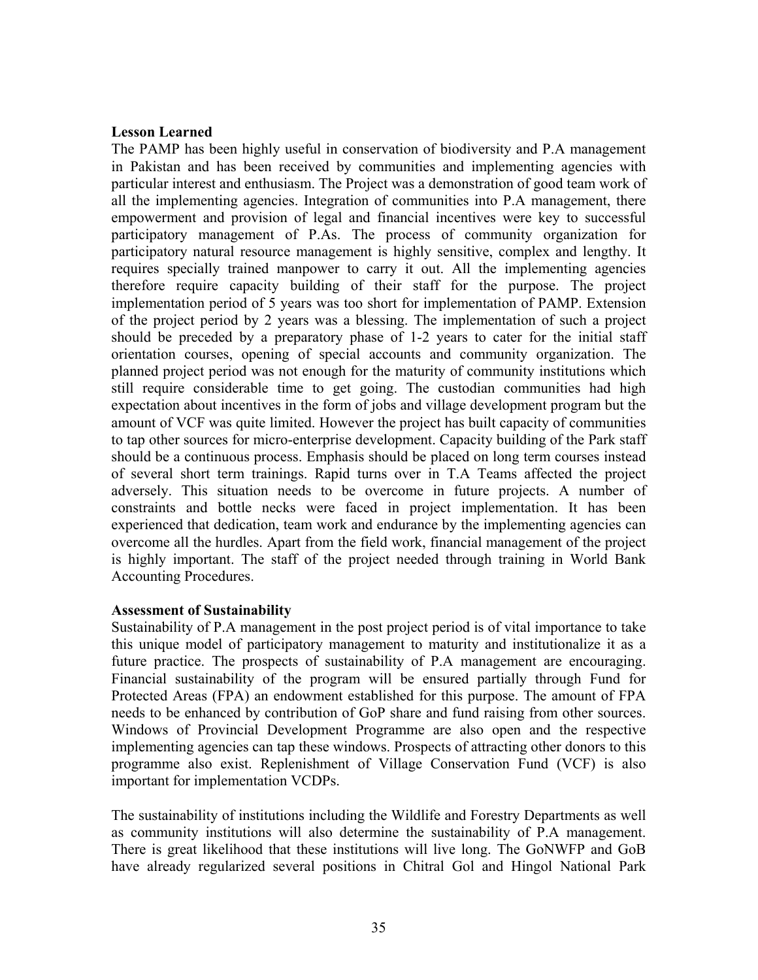#### **Lesson Learned**

The PAMP has been highly useful in conservation of biodiversity and P.A management in Pakistan and has been received by communities and implementing agencies with particular interest and enthusiasm. The Project was a demonstration of good team work of all the implementing agencies. Integration of communities into P.A management, there empowerment and provision of legal and financial incentives were key to successful participatory management of P.As. The process of community organization for participatory natural resource management is highly sensitive, complex and lengthy. It requires specially trained manpower to carry it out. All the implementing agencies therefore require capacity building of their staff for the purpose. The project implementation period of 5 years was too short for implementation of PAMP. Extension of the project period by 2 years was a blessing. The implementation of such a project should be preceded by a preparatory phase of 1-2 years to cater for the initial staff orientation courses, opening of special accounts and community organization. The planned project period was not enough for the maturity of community institutions which still require considerable time to get going. The custodian communities had high expectation about incentives in the form of jobs and village development program but the amount of VCF was quite limited. However the project has built capacity of communities to tap other sources for micro-enterprise development. Capacity building of the Park staff should be a continuous process. Emphasis should be placed on long term courses instead of several short term trainings. Rapid turns over in T.A Teams affected the project adversely. This situation needs to be overcome in future projects. A number of constraints and bottle necks were faced in project implementation. It has been experienced that dedication, team work and endurance by the implementing agencies can overcome all the hurdles. Apart from the field work, financial management of the project is highly important. The staff of the project needed through training in World Bank Accounting Procedures.

#### **Assessment of Sustainability**

Sustainability of P.A management in the post project period is of vital importance to take this unique model of participatory management to maturity and institutionalize it as a future practice. The prospects of sustainability of P.A management are encouraging. Financial sustainability of the program will be ensured partially through Fund for Protected Areas (FPA) an endowment established for this purpose. The amount of FPA needs to be enhanced by contribution of GoP share and fund raising from other sources. Windows of Provincial Development Programme are also open and the respective implementing agencies can tap these windows. Prospects of attracting other donors to this programme also exist. Replenishment of Village Conservation Fund (VCF) is also important for implementation VCDPs.

The sustainability of institutions including the Wildlife and Forestry Departments as well as community institutions will also determine the sustainability of P.A management. There is great likelihood that these institutions will live long. The GoNWFP and GoB have already regularized several positions in Chitral Gol and Hingol National Park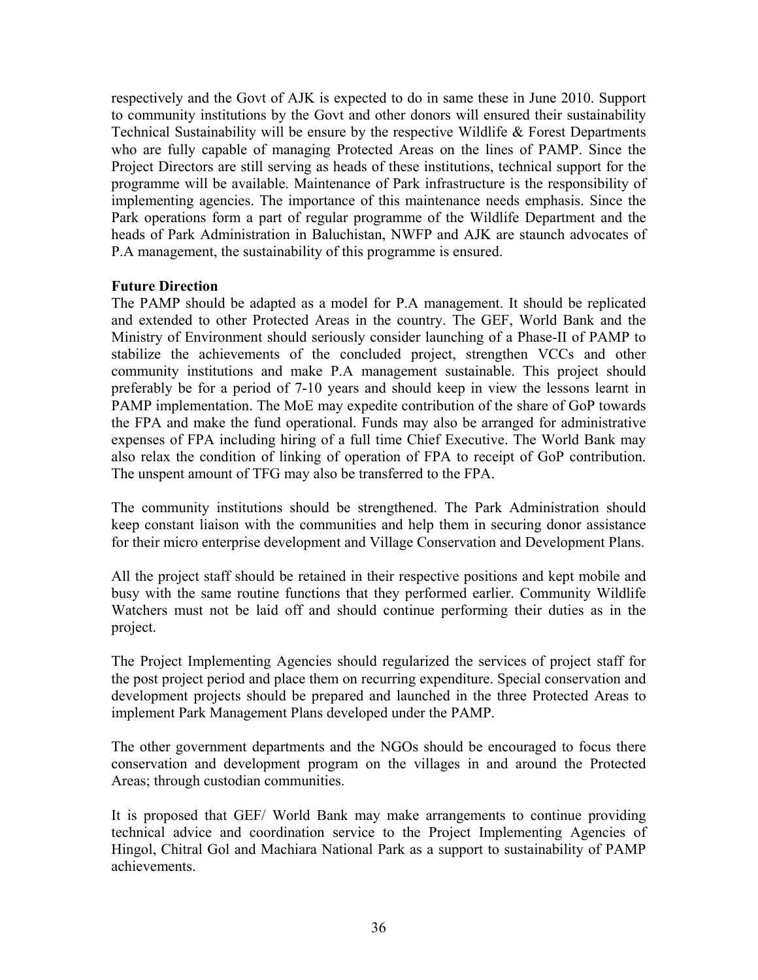respectively and the Govt of AJK is expected to do in same these in June 2010. Support to community institutions by the Govt and other donors will ensured their sustainability Technical Sustainability will be ensure by the respective Wildlife & Forest Departments who are fully capable of managing Protected Areas on the lines of PAMP. Since the Project Directors are still serving as heads of these institutions, technical support for the programme will be available. Maintenance of Park infrastructure is the responsibility of implementing agencies. The importance of this maintenance needs emphasis. Since the Park operations form a part of regular programme of the Wildlife Department and the heads of Park Administration in Baluchistan, NWFP and AJK are staunch advocates of P.A management, the sustainability of this programme is ensured.

#### **Future Direction**

The PAMP should be adapted as a model for P.A management. It should be replicated and extended to other Protected Areas in the country. The GEF, World Bank and the Ministry of Environment should seriously consider launching of a Phase-II of PAMP to stabilize the achievements of the concluded project, strengthen VCCs and other community institutions and make P.A management sustainable. This project should preferably be for a period of 7-10 years and should keep in view the lessons learnt in PAMP implementation. The MoE may expedite contribution of the share of GoP towards the FPA and make the fund operational. Funds may also be arranged for administrative expenses of FPA including hiring of a full time Chief Executive. The World Bank may also relax the condition of linking of operation of FPA to receipt of GoP contribution. The unspent amount of TFG may also be transferred to the FPA.

The community institutions should be strengthened. The Park Administration should keep constant liaison with the communities and help them in securing donor assistance for their micro enterprise development and Village Conservation and Development Plans.

All the project staff should be retained in their respective positions and kept mobile and busy with the same routine functions that they performed earlier. Community Wildlife Watchers must not be laid off and should continue performing their duties as in the project.

The Project Implementing Agencies should regularized the services of project staff for the post project period and place them on recurring expenditure. Special conservation and development projects should be prepared and launched in the three Protected Areas to implement Park Management Plans developed under the PAMP.

The other government departments and the NGOs should be encouraged to focus there conservation and development program on the villages in and around the Protected Areas; through custodian communities.

It is proposed that GEF/ World Bank may make arrangements to continue providing technical advice and coordination service to the Project Implementing Agencies of Hingol, Chitral Gol and Machiara National Park as a support to sustainability of PAMP achievements.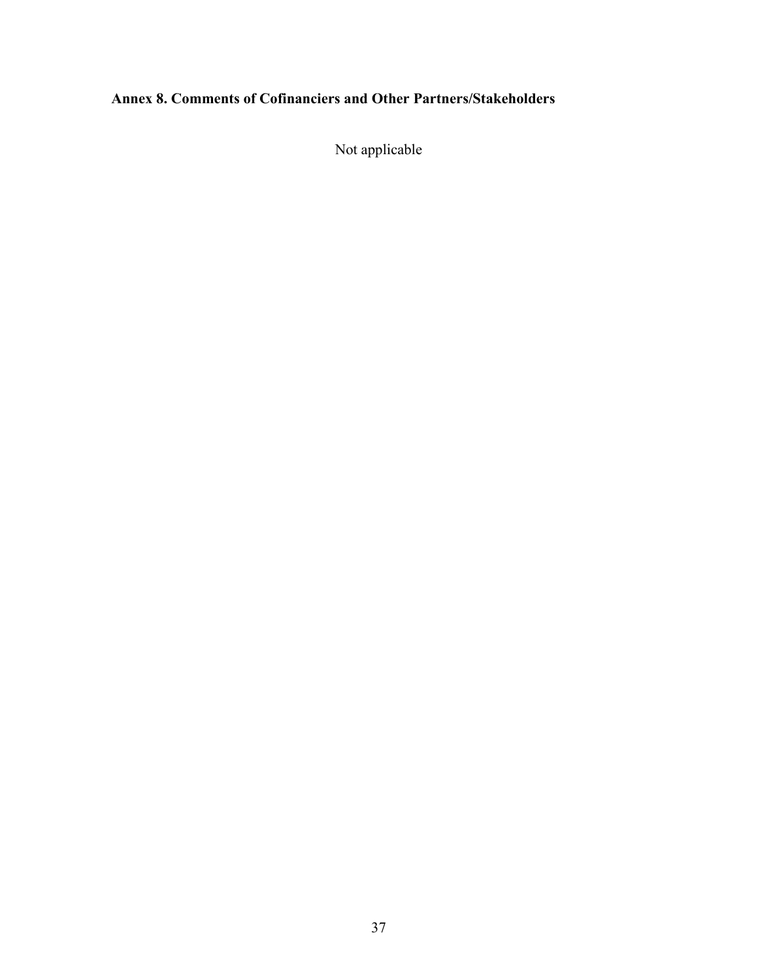# <span id="page-46-0"></span>**Annex 8. Comments of Cofinanciers and Other Partners/Stakeholders**

Not applicable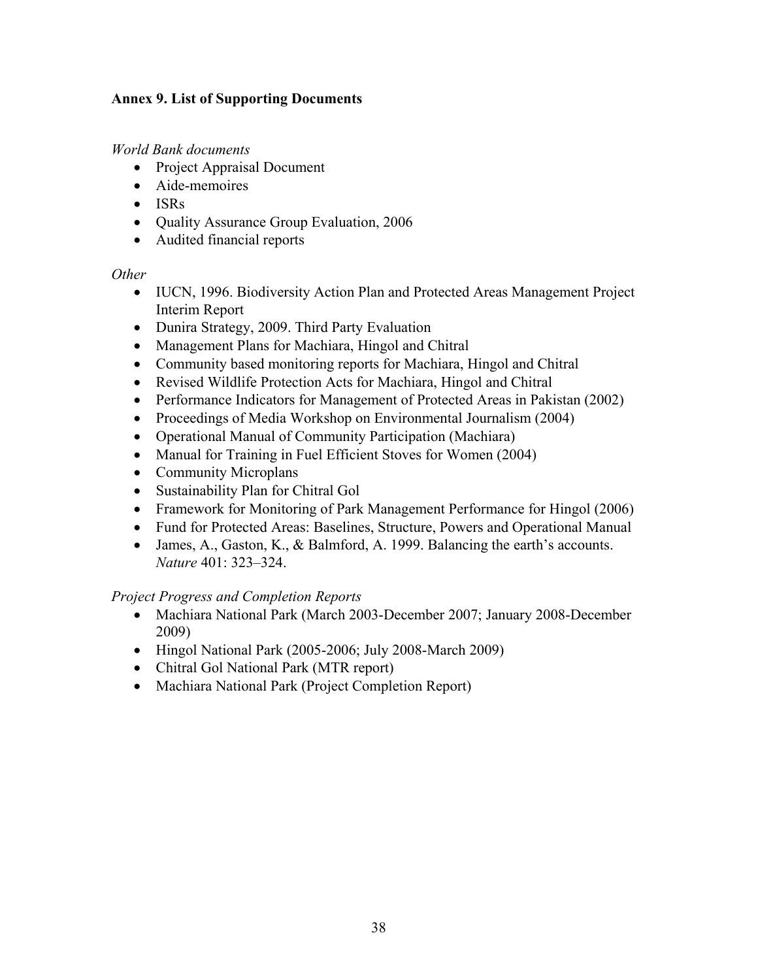#### <span id="page-47-0"></span>**Annex 9. List of Supporting Documents**

*World Bank documents*

- Project Appraisal Document
- Aide-memoires
- ISRs
- Quality Assurance Group Evaluation, 2006
- Audited financial reports

#### *Other*

- IUCN, 1996. Biodiversity Action Plan and Protected Areas Management Project Interim Report
- Dunira Strategy, 2009. Third Party Evaluation
- Management Plans for Machiara, Hingol and Chitral
- Community based monitoring reports for Machiara, Hingol and Chitral
- Revised Wildlife Protection Acts for Machiara, Hingol and Chitral
- Performance Indicators for Management of Protected Areas in Pakistan (2002)
- Proceedings of Media Workshop on Environmental Journalism (2004)
- Operational Manual of Community Participation (Machiara)
- Manual for Training in Fuel Efficient Stoves for Women (2004)
- Community Microplans
- Sustainability Plan for Chitral Gol
- Framework for Monitoring of Park Management Performance for Hingol (2006)
- Fund for Protected Areas: Baselines, Structure, Powers and Operational Manual
- James, A., Gaston, K., & Balmford, A. 1999. Balancing the earth's accounts. *Nature* 401: 323–324.

#### *Project Progress and Completion Reports*

- Machiara National Park (March 2003-December 2007; January 2008-December 2009)
- Hingol National Park (2005-2006; July 2008-March 2009)
- Chitral Gol National Park (MTR report)
- Machiara National Park (Project Completion Report)